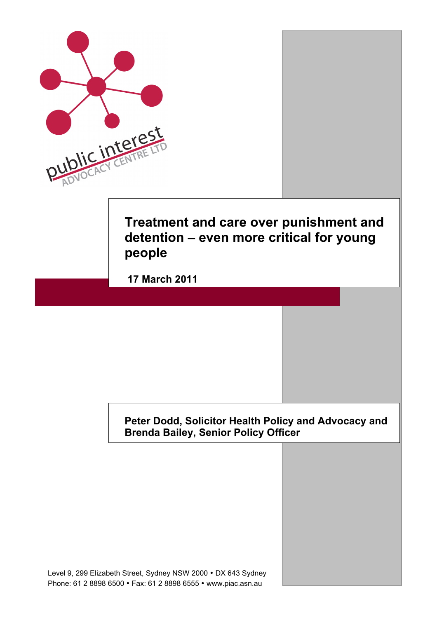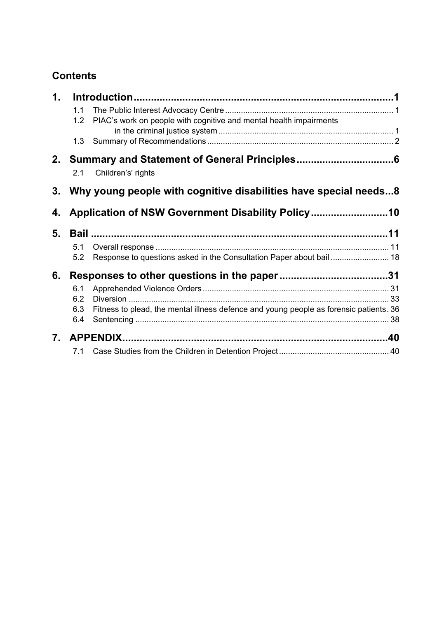# **Contents**

| 1. |            |                                                                                        |  |
|----|------------|----------------------------------------------------------------------------------------|--|
|    | 1.1<br>1.2 | PIAC's work on people with cognitive and mental health impairments                     |  |
|    | 1.3        |                                                                                        |  |
|    | 2.1        | 2. Summary and Statement of General Principles<br>Children's' rights                   |  |
| 3. |            | Why young people with cognitive disabilities have special needs8                       |  |
| 4. |            |                                                                                        |  |
| 5. |            |                                                                                        |  |
|    | 5.1        |                                                                                        |  |
|    | 5.2        | Response to questions asked in the Consultation Paper about bail  18                   |  |
| 6. |            |                                                                                        |  |
|    | 6.1        |                                                                                        |  |
|    | 6.2        |                                                                                        |  |
|    | 6.3        | Fitness to plead, the mental illness defence and young people as forensic patients. 36 |  |
|    | 6.4        |                                                                                        |  |
| 7. |            |                                                                                        |  |
|    | 7.1        |                                                                                        |  |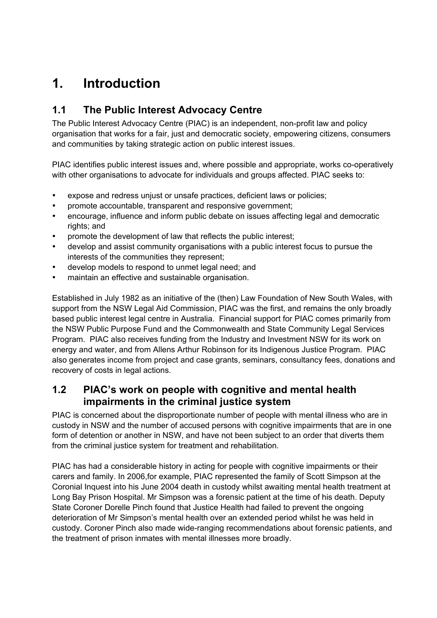# **1. Introduction**

# **1.1 The Public Interest Advocacy Centre**

The Public Interest Advocacy Centre (PIAC) is an independent, non-profit law and policy organisation that works for a fair, just and democratic society, empowering citizens, consumers and communities by taking strategic action on public interest issues.

PIAC identifies public interest issues and, where possible and appropriate, works co-operatively with other organisations to advocate for individuals and groups affected. PIAC seeks to:

- expose and redress unjust or unsafe practices, deficient laws or policies;
- promote accountable, transparent and responsive government;
- encourage, influence and inform public debate on issues affecting legal and democratic rights; and
- promote the development of law that reflects the public interest;
- develop and assist community organisations with a public interest focus to pursue the interests of the communities they represent;
- develop models to respond to unmet legal need; and
- maintain an effective and sustainable organisation.

Established in July 1982 as an initiative of the (then) Law Foundation of New South Wales, with support from the NSW Legal Aid Commission, PIAC was the first, and remains the only broadly based public interest legal centre in Australia. Financial support for PIAC comes primarily from the NSW Public Purpose Fund and the Commonwealth and State Community Legal Services Program. PIAC also receives funding from the Industry and Investment NSW for its work on energy and water, and from Allens Arthur Robinson for its Indigenous Justice Program. PIAC also generates income from project and case grants, seminars, consultancy fees, donations and recovery of costs in legal actions.

## **1.2 PIAC's work on people with cognitive and mental health impairments in the criminal justice system**

PIAC is concerned about the disproportionate number of people with mental illness who are in custody in NSW and the number of accused persons with cognitive impairments that are in one form of detention or another in NSW, and have not been subject to an order that diverts them from the criminal justice system for treatment and rehabilitation.

PIAC has had a considerable history in acting for people with cognitive impairments or their carers and family. In 2006,for example, PIAC represented the family of Scott Simpson at the Coronial Inquest into his June 2004 death in custody whilst awaiting mental health treatment at Long Bay Prison Hospital. Mr Simpson was a forensic patient at the time of his death. Deputy State Coroner Dorelle Pinch found that Justice Health had failed to prevent the ongoing deterioration of Mr Simpson's mental health over an extended period whilst he was held in custody. Coroner Pinch also made wide-ranging recommendations about forensic patients, and the treatment of prison inmates with mental illnesses more broadly.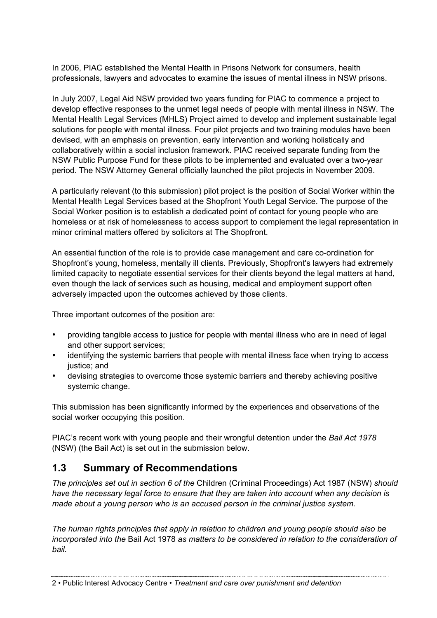In 2006, PIAC established the Mental Health in Prisons Network for consumers, health professionals, lawyers and advocates to examine the issues of mental illness in NSW prisons.

In July 2007, Legal Aid NSW provided two years funding for PIAC to commence a project to develop effective responses to the unmet legal needs of people with mental illness in NSW. The Mental Health Legal Services (MHLS) Project aimed to develop and implement sustainable legal solutions for people with mental illness. Four pilot projects and two training modules have been devised, with an emphasis on prevention, early intervention and working holistically and collaboratively within a social inclusion framework. PIAC received separate funding from the NSW Public Purpose Fund for these pilots to be implemented and evaluated over a two-year period. The NSW Attorney General officially launched the pilot projects in November 2009.

A particularly relevant (to this submission) pilot project is the position of Social Worker within the Mental Health Legal Services based at the Shopfront Youth Legal Service. The purpose of the Social Worker position is to establish a dedicated point of contact for young people who are homeless or at risk of homelessness to access support to complement the legal representation in minor criminal matters offered by solicitors at The Shopfront.

An essential function of the role is to provide case management and care co-ordination for Shopfront's young, homeless, mentally ill clients. Previously, Shopfront's lawyers had extremely limited capacity to negotiate essential services for their clients beyond the legal matters at hand, even though the lack of services such as housing, medical and employment support often adversely impacted upon the outcomes achieved by those clients.

Three important outcomes of the position are:

- providing tangible access to justice for people with mental illness who are in need of legal and other support services;
- identifying the systemic barriers that people with mental illness face when trying to access justice; and
- devising strategies to overcome those systemic barriers and thereby achieving positive systemic change.

This submission has been significantly informed by the experiences and observations of the social worker occupying this position.

PIAC's recent work with young people and their wrongful detention under the *Bail Act 1978* (NSW) (the Bail Act) is set out in the submission below.

# **1.3 Summary of Recommendations**

*The principles set out in section 6 of the* Children (Criminal Proceedings) Act 1987 (NSW) *should have the necessary legal force to ensure that they are taken into account when any decision is made about a young person who is an accused person in the criminal justice system.*

*The human rights principles that apply in relation to children and young people should also be incorporated into the* Bail Act 1978 *as matters to be considered in relation to the consideration of bail.*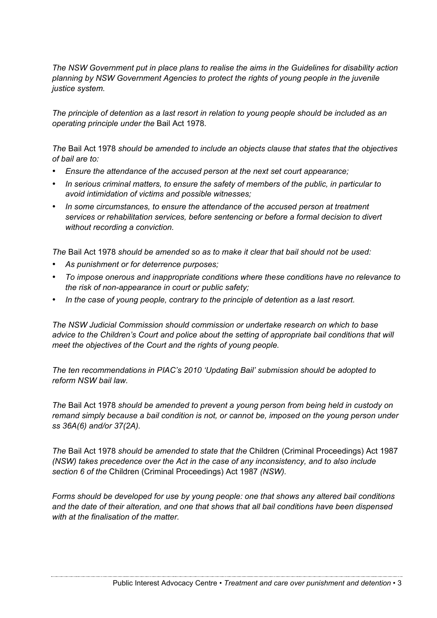*The NSW Government put in place plans to realise the aims in the Guidelines for disability action planning by NSW Government Agencies to protect the rights of young people in the juvenile justice system.*

*The principle of detention as a last resort in relation to young people should be included as an operating principle under the* Bail Act 1978*.*

*The* Bail Act 1978 *should be amended to include an objects clause that states that the objectives of bail are to:*

- *Ensure the attendance of the accused person at the next set court appearance;*
- *In serious criminal matters, to ensure the safety of members of the public, in particular to avoid intimidation of victims and possible witnesses;*
- *In some circumstances, to ensure the attendance of the accused person at treatment services or rehabilitation services, before sentencing or before a formal decision to divert without recording a conviction.*

*The* Bail Act 1978 *should be amended so as to make it clear that bail should not be used:*

- *As punishment or for deterrence purposes;*
- *To impose onerous and inappropriate conditions where these conditions have no relevance to the risk of non-appearance in court or public safety;*
- *In the case of young people, contrary to the principle of detention as a last resort.*

*The NSW Judicial Commission should commission or undertake research on which to base advice to the Children's Court and police about the setting of appropriate bail conditions that will meet the objectives of the Court and the rights of young people.* 

*The ten recommendations in PIAC's 2010 'Updating Bail' submission should be adopted to reform NSW bail law.*

*The* Bail Act 1978 *should be amended to prevent a young person from being held in custody on remand simply because a bail condition is not, or cannot be, imposed on the young person under ss 36A(6) and/or 37(2A).* 

*The* Bail Act 1978 *should be amended to state that the* Children (Criminal Proceedings) Act 1987 *(NSW) takes precedence over the Act in the case of any inconsistency, and to also include section 6 of the* Children (Criminal Proceedings) Act 1987 *(NSW).*

*Forms should be developed for use by young people: one that shows any altered bail conditions and the date of their alteration, and one that shows that all bail conditions have been dispensed with at the finalisation of the matter.*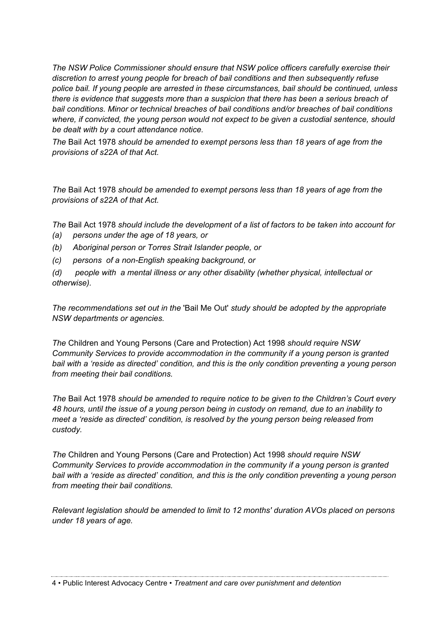*The NSW Police Commissioner should ensure that NSW police officers carefully exercise their discretion to arrest young people for breach of bail conditions and then subsequently refuse police bail. If young people are arrested in these circumstances, bail should be continued, unless there is evidence that suggests more than a suspicion that there has been a serious breach of bail conditions. Minor or technical breaches of bail conditions and/or breaches of bail conditions where, if convicted, the young person would not expect to be given a custodial sentence, should be dealt with by a court attendance notice.*

*The* Bail Act 1978 *should be amended to exempt persons less than 18 years of age from the provisions of s22A of that Act.*

*The* Bail Act 1978 *should be amended to exempt persons less than 18 years of age from the provisions of s22A of that Act.*

*The* Bail Act 1978 *should include the development of a list of factors to be taken into account for* 

- *(a) persons under the age of 18 years, or*
- *(b) Aboriginal person or Torres Strait Islander people, or*
- *(c) persons of a non-English speaking background, or*

*(d) people with a mental illness or any other disability (whether physical, intellectual or otherwise).*

*The recommendations set out in the* 'Bail Me Out' *study should be adopted by the appropriate NSW departments or agencies.* 

*The* Children and Young Persons (Care and Protection) Act 1998 *should require NSW Community Services to provide accommodation in the community if a young person is granted bail with a 'reside as directed' condition, and this is the only condition preventing a young person from meeting their bail conditions.*

*The* Bail Act 1978 *should be amended to require notice to be given to the Children's Court every 48 hours, until the issue of a young person being in custody on remand, due to an inability to meet a 'reside as directed' condition, is resolved by the young person being released from custody.*

*The* Children and Young Persons (Care and Protection) Act 1998 *should require NSW Community Services to provide accommodation in the community if a young person is granted bail with a 'reside as directed' condition, and this is the only condition preventing a young person from meeting their bail conditions.*

*Relevant legislation should be amended to limit to 12 months' duration AVOs placed on persons under 18 years of age.* 

4 • Public Interest Advocacy Centre • *Treatment and care over punishment and detention*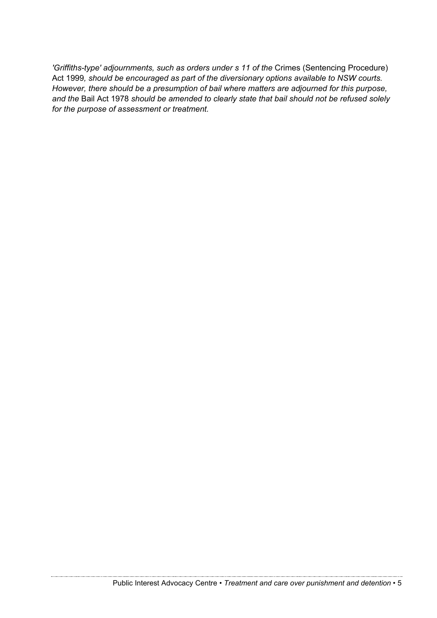*'Griffiths-type' adjournments, such as orders under s 11 of the* Crimes (Sentencing Procedure) Act 1999*, should be encouraged as part of the diversionary options available to NSW courts. However, there should be a presumption of bail where matters are adjourned for this purpose, and the* Bail Act 1978 *should be amended to clearly state that bail should not be refused solely for the purpose of assessment or treatment.*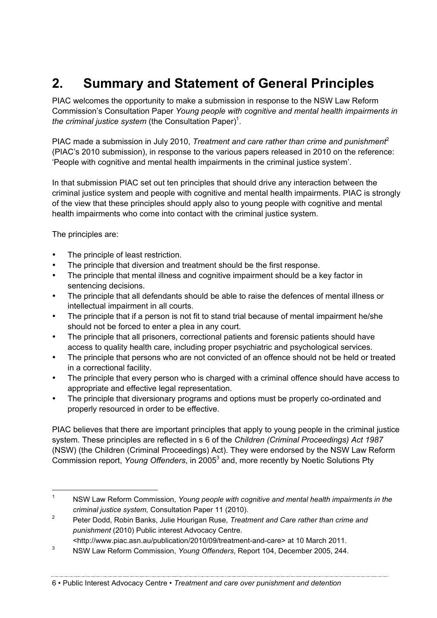# **2. Summary and Statement of General Principles**

PIAC welcomes the opportunity to make a submission in response to the NSW Law Reform Commission's Consultation Paper *Young people with cognitive and mental health impairments in the criminal justice system* (the Consultation Paper)<sup>1</sup>.

PIAC made a submission in July 2010, *Treatment and care rather than crime and punishment*<sup>2</sup> (PIAC's 2010 submission), in response to the various papers released in 2010 on the reference: 'People with cognitive and mental health impairments in the criminal justice system'.

In that submission PIAC set out ten principles that should drive any interaction between the criminal justice system and people with cognitive and mental health impairments. PIAC is strongly of the view that these principles should apply also to young people with cognitive and mental health impairments who come into contact with the criminal justice system.

The principles are:

- The principle of least restriction.
- The principle that diversion and treatment should be the first response.
- The principle that mental illness and cognitive impairment should be a key factor in sentencing decisions.
- The principle that all defendants should be able to raise the defences of mental illness or intellectual impairment in all courts.
- The principle that if a person is not fit to stand trial because of mental impairment he/she should not be forced to enter a plea in any court.
- The principle that all prisoners, correctional patients and forensic patients should have access to quality health care, including proper psychiatric and psychological services.
- The principle that persons who are not convicted of an offence should not be held or treated in a correctional facility.
- The principle that every person who is charged with a criminal offence should have access to appropriate and effective legal representation.
- The principle that diversionary programs and options must be properly co-ordinated and properly resourced in order to be effective.

PIAC believes that there are important principles that apply to young people in the criminal justice system. These principles are reflected in s 6 of the *Children (Criminal Proceedings) Act 1987* (NSW) (the Children (Criminal Proceedings) Act). They were endorsed by the NSW Law Reform Commission report, *Young Offenders*, in 20053 and, more recently by Noetic Solutions Pty

 <sup>1</sup> NSW Law Reform Commission, *Young people with cognitive and mental health impairments in the criminal justice system,* Consultation Paper 11 (2010).

<sup>2</sup> Peter Dodd, Robin Banks, Julie Hourigan Ruse, *Treatment and Care rather than crime and punishment* (2010) Public interest Advocacy Centre.

<sup>&</sup>lt;http://www.piac.asn.au/publication/2010/09/treatment-and-care> at 10 March 2011.

<sup>3</sup> NSW Law Reform Commission, *Young Offenders*, Report 104, December 2005, 244.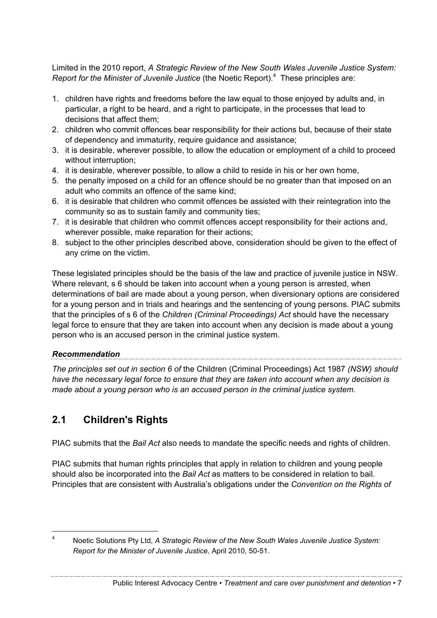Limited in the 2010 report, *A Strategic Review of the New South Wales Juvenile Justice System:*  Report for the Minister of Juvenile Justice (the Noetic Report).<sup>4</sup> These principles are:

- 1. children have rights and freedoms before the law equal to those enjoyed by adults and, in particular, a right to be heard, and a right to participate, in the processes that lead to decisions that affect them;
- 2. children who commit offences bear responsibility for their actions but, because of their state of dependency and immaturity, require guidance and assistance;
- 3. it is desirable, wherever possible, to allow the education or employment of a child to proceed without interruption;
- 4. it is desirable, wherever possible, to allow a child to reside in his or her own home,
- 5. the penalty imposed on a child for an offence should be no greater than that imposed on an adult who commits an offence of the same kind;
- 6. it is desirable that children who commit offences be assisted with their reintegration into the community so as to sustain family and community ties;
- 7. it is desirable that children who commit offences accept responsibility for their actions and, wherever possible, make reparation for their actions;
- 8. subject to the other principles described above, consideration should be given to the effect of any crime on the victim.

These legislated principles should be the basis of the law and practice of juvenile justice in NSW. Where relevant, s 6 should be taken into account when a young person is arrested, when determinations of bail are made about a young person, when diversionary options are considered for a young person and in trials and hearings and the sentencing of young persons. PIAC submits that the principles of s 6 of the *Children (Criminal Proceedings) Act* should have the necessary legal force to ensure that they are taken into account when any decision is made about a young person who is an accused person in the criminal justice system.

# *Recommendation*

*The principles set out in section 6 of* the Children (Criminal Proceedings) Act 1987 *(NSW) should have the necessary legal force to ensure that they are taken into account when any decision is made about a young person who is an accused person in the criminal justice system.*

# **2.1 Children's Rights**

PIAC submits that the *Bail Act* also needs to mandate the specific needs and rights of children.

PIAC submits that human rights principles that apply in relation to children and young people should also be incorporated into the *Bail Act* as matters to be considered in relation to bail. Principles that are consistent with Australia's obligations under the *Convention on the Rights of* 

 <sup>4</sup> Noetic Solutions Pty Ltd, *A Strategic Review of the New South Wales Juvenile Justice System: Report for the Minister of Juvenile Justice,* April 2010, 50-51.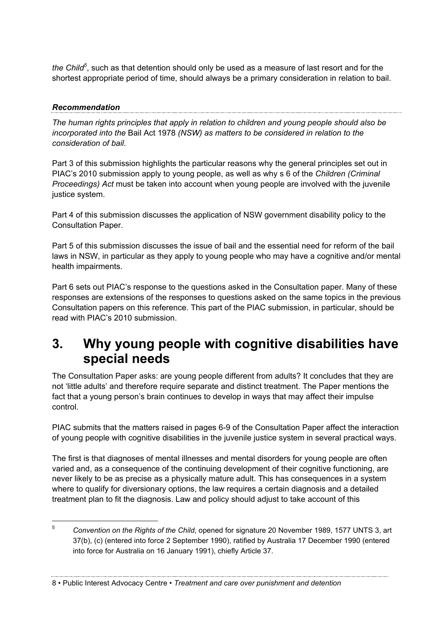*the Child<sup>5</sup>* , such as that detention should only be used as a measure of last resort and for the shortest appropriate period of time, should always be a primary consideration in relation to bail.

### *Recommendation*

*The human rights principles that apply in relation to children and young people should also be incorporated into the* Bail Act 1978 *(NSW) as matters to be considered in relation to the consideration of bail.*

Part 3 of this submission highlights the particular reasons why the general principles set out in PIAC's 2010 submission apply to young people, as well as why s 6 of the *Children (Criminal Proceedings) Act* must be taken into account when young people are involved with the juvenile justice system.

Part 4 of this submission discusses the application of NSW government disability policy to the Consultation Paper.

Part 5 of this submission discusses the issue of bail and the essential need for reform of the bail laws in NSW, in particular as they apply to young people who may have a cognitive and/or mental health impairments.

Part 6 sets out PIAC's response to the questions asked in the Consultation paper. Many of these responses are extensions of the responses to questions asked on the same topics in the previous Consultation papers on this reference. This part of the PIAC submission, in particular, should be read with PIAC's 2010 submission.

# **3. Why young people with cognitive disabilities have special needs**

The Consultation Paper asks: are young people different from adults? It concludes that they are not 'little adults' and therefore require separate and distinct treatment. The Paper mentions the fact that a young person's brain continues to develop in ways that may affect their impulse control.

PIAC submits that the matters raised in pages 6-9 of the Consultation Paper affect the interaction of young people with cognitive disabilities in the juvenile justice system in several practical ways.

The first is that diagnoses of mental illnesses and mental disorders for young people are often varied and, as a consequence of the continuing development of their cognitive functioning, are never likely to be as precise as a physically mature adult. This has consequences in a system where to qualify for diversionary options, the law requires a certain diagnosis and a detailed treatment plan to fit the diagnosis. Law and policy should adjust to take account of this

8 • Public Interest Advocacy Centre • *Treatment and care over punishment and detention*

 <sup>5</sup> *Convention on the Rights of the Child*, opened for signature 20 November 1989, 1577 UNTS 3, art 37(b), (c) (entered into force 2 September 1990), ratified by Australia 17 December 1990 (entered into force for Australia on 16 January 1991), chiefly Article 37.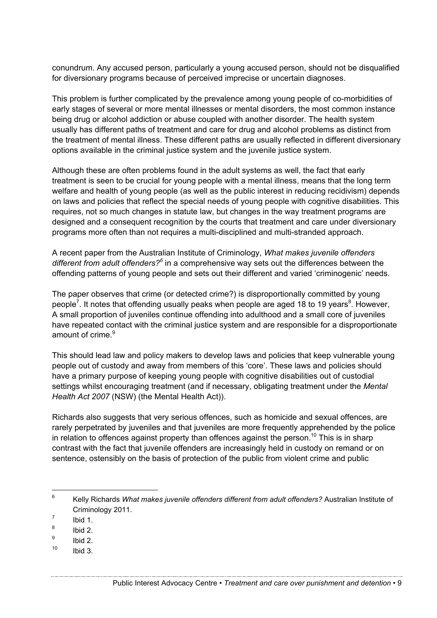conundrum. Any accused person, particularly a young accused person, should not be disqualified for diversionary programs because of perceived imprecise or uncertain diagnoses.

This problem is further complicated by the prevalence among young people of co-morbidities of early stages of several or more mental illnesses or mental disorders, the most common instance being drug or alcohol addiction or abuse coupled with another disorder. The health system usually has different paths of treatment and care for drug and alcohol problems as distinct from the treatment of mental illness. These different paths are usually reflected in different diversionary options available in the criminal justice system and the juvenile justice system.

Although these are often problems found in the adult systems as well, the fact that early treatment is seen to be crucial for young people with a mental illness, means that the long term welfare and health of young people (as well as the public interest in reducing recidivism) depends on laws and policies that reflect the special needs of young people with cognitive disabilities. This requires, not so much changes in statute law, but changes in the way treatment programs are designed and a consequent recognition by the courts that treatment and care under diversionary programs more often than not requires a multi-disciplined and multi-stranded approach.

A recent paper from the Australian Institute of Criminology, *What makes juvenile offenders different from adult offenders?<sup>6</sup>* in a comprehensive way sets out the differences between the offending patterns of young people and sets out their different and varied 'criminogenic' needs.

The paper observes that crime (or detected crime?) is disproportionally committed by young people<sup>7</sup>. It notes that offending usually peaks when people are aged 18 to 19 years<sup>8</sup>. However, A small proportion of juveniles continue offending into adulthood and a small core of juveniles have repeated contact with the criminal justice system and are responsible for a disproportionate amount of crime. $9$ 

This should lead law and policy makers to develop laws and policies that keep vulnerable young people out of custody and away from members of this 'core'. These laws and policies should have a primary purpose of keeping young people with cognitive disabilities out of custodial settings whilst encouraging treatment (and if necessary, obligating treatment under the *Mental Health Act 2007* (NSW) (the Mental Health Act)).

Richards also suggests that very serious offences, such as homicide and sexual offences, are rarely perpetrated by juveniles and that juveniles are more frequently apprehended by the police in relation to offences against property than offences against the person.<sup>10</sup> This is in sharp contrast with the fact that juvenile offenders are increasingly held in custody on remand or on sentence, ostensibly on the basis of protection of the public from violent crime and public

 $10$  Ibid 3.

 <sup>6</sup> Kelly Richards *What makes juvenile offenders different from adult offenders?* Australian Institute of Criminology 2011.

 $\frac{7}{8}$  Ibid 1.

 $\frac{8}{9}$  Ibid 2.

<sup>9</sup> Ibid 2.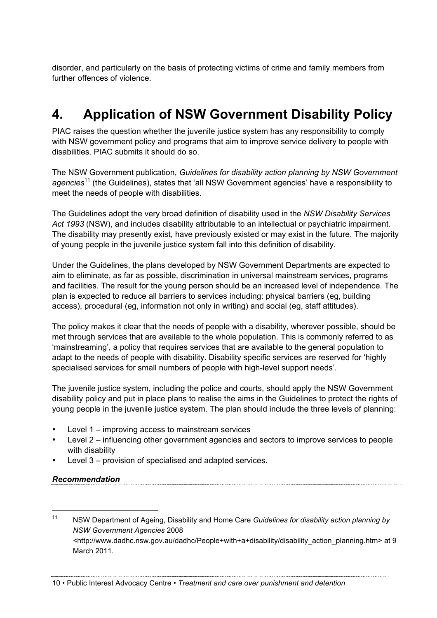disorder, and particularly on the basis of protecting victims of crime and family members from further offences of violence.

# **4. Application of NSW Government Disability Policy**

PIAC raises the question whether the juvenile justice system has any responsibility to comply with NSW government policy and programs that aim to improve service delivery to people with disabilities. PIAC submits it should do so.

The NSW Government publication, *Guidelines for disability action planning by NSW Government agencies*<sup>11</sup> (the Guidelines), states that 'all NSW Government agencies' have a responsibility to meet the needs of people with disabilities.

The Guidelines adopt the very broad definition of disability used in the *NSW Disability Services Act 1993* (NSW), and includes disability attributable to an intellectual or psychiatric impairment. The disability may presently exist, have previously existed or may exist in the future. The majority of young people in the juvenile justice system fall into this definition of disability.

Under the Guidelines, the plans developed by NSW Government Departments are expected to aim to eliminate, as far as possible, discrimination in universal mainstream services, programs and facilities. The result for the young person should be an increased level of independence. The plan is expected to reduce all barriers to services including: physical barriers (eg, building access), procedural (eg, information not only in writing) and social (eg, staff attitudes).

The policy makes it clear that the needs of people with a disability, wherever possible, should be met through services that are available to the whole population. This is commonly referred to as 'mainstreaming', a policy that requires services that are available to the general population to adapt to the needs of people with disability. Disability specific services are reserved for 'highly specialised services for small numbers of people with high-level support needs'.

The juvenile justice system, including the police and courts, should apply the NSW Government disability policy and put in place plans to realise the aims in the Guidelines to protect the rights of young people in the juvenile justice system. The plan should include the three levels of planning:

- Level 1 improving access to mainstream services
- Level 2 influencing other government agencies and sectors to improve services to people with disability
- Level 3 provision of specialised and adapted services.

#### *Recommendation*

 <sup>11</sup> NSW Department of Ageing, Disability and Home Care *Guidelines for disability action planning by NSW Government Agencies* 2008 *<*http://www.dadhc.nsw.gov.au/dadhc/People+with+a+disability/disability\_action\_planning.htm> at 9 March 2011.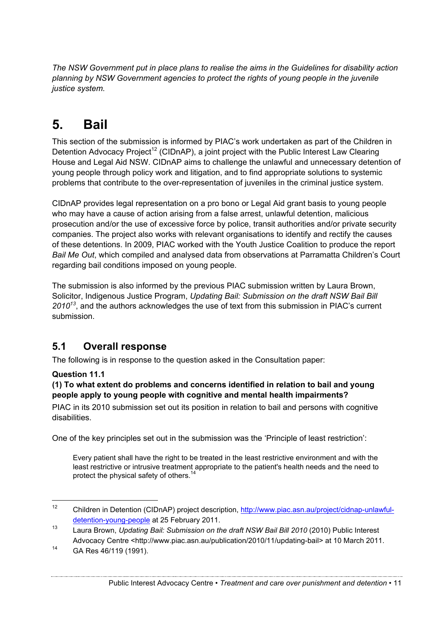*The NSW Government put in place plans to realise the aims in the Guidelines for disability action planning by NSW Government agencies to protect the rights of young people in the juvenile justice system.*

# **5. Bail**

This section of the submission is informed by PIAC's work undertaken as part of the Children in Detention Advocacy Project<sup>12</sup> (CIDnAP), a joint project with the Public Interest Law Clearing House and Legal Aid NSW. CIDnAP aims to challenge the unlawful and unnecessary detention of young people through policy work and litigation, and to find appropriate solutions to systemic problems that contribute to the over-representation of juveniles in the criminal justice system.

CIDnAP provides legal representation on a pro bono or Legal Aid grant basis to young people who may have a cause of action arising from a false arrest, unlawful detention, malicious prosecution and/or the use of excessive force by police, transit authorities and/or private security companies. The project also works with relevant organisations to identify and rectify the causes of these detentions. In 2009, PIAC worked with the Youth Justice Coalition to produce the report *Bail Me Out*, which compiled and analysed data from observations at Parramatta Children's Court regarding bail conditions imposed on young people.

The submission is also informed by the previous PIAC submission written by Laura Brown, Solicitor, Indigenous Justice Program, *Updating Bail: Submission on the draft NSW Bail Bill 2010<sup>13</sup>*, and the authors acknowledges the use of text from this submission in PIAC's current submission.

# **5.1 Overall response**

The following is in response to the question asked in the Consultation paper:

#### **Question 11.1**

#### **(1) To what extent do problems and concerns identified in relation to bail and young people apply to young people with cognitive and mental health impairments?**

PIAC in its 2010 submission set out its position in relation to bail and persons with cognitive disabilities.

One of the key principles set out in the submission was the 'Principle of least restriction':

Every patient shall have the right to be treated in the least restrictive environment and with the least restrictive or intrusive treatment appropriate to the patient's health needs and the need to protect the physical safety of others.<sup>14</sup>

 <sup>12</sup> Children in Detention (CIDnAP) project description, http://www.piac.asn.au/project/cidnap-unlawfuldetention-young-people at 25 February 2011.

<sup>13</sup> Laura Brown, *Updating Bail: Submission on the draft NSW Bail Bill 2010* (2010) Public Interest Advocacy Centre <http://www.piac.asn.au/publication/2010/11/updating-bail> at 10 March 2011.

<sup>14</sup> GA Res 46/119 (1991).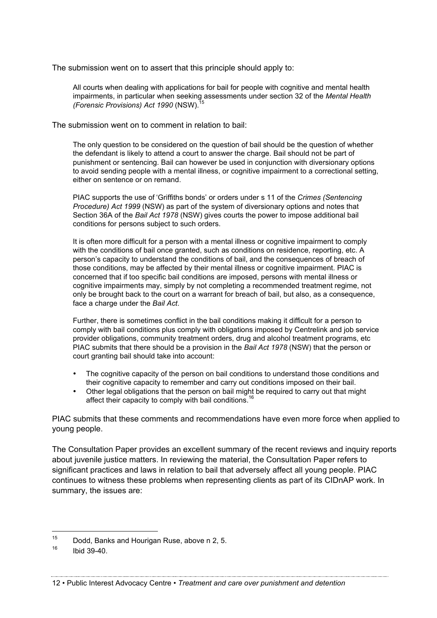The submission went on to assert that this principle should apply to:

All courts when dealing with applications for bail for people with cognitive and mental health impairments, in particular when seeking assessments under section 32 of the *Mental Health (Forensic Provisions) Act 1990 (NSW).* 

The submission went on to comment in relation to bail:

The only question to be considered on the question of bail should be the question of whether the defendant is likely to attend a court to answer the charge. Bail should not be part of punishment or sentencing. Bail can however be used in conjunction with diversionary options to avoid sending people with a mental illness, or cognitive impairment to a correctional setting, either on sentence or on remand.

PIAC supports the use of 'Griffiths bonds' or orders under s 11 of the *Crimes (Sentencing Procedure) Act 1999* (NSW) as part of the system of diversionary options and notes that Section 36A of the *Bail Act 1978* (NSW) gives courts the power to impose additional bail conditions for persons subject to such orders.

It is often more difficult for a person with a mental illness or cognitive impairment to comply with the conditions of bail once granted, such as conditions on residence, reporting, etc. A person's capacity to understand the conditions of bail, and the consequences of breach of those conditions, may be affected by their mental illness or cognitive impairment. PIAC is concerned that if too specific bail conditions are imposed, persons with mental illness or cognitive impairments may, simply by not completing a recommended treatment regime, not only be brought back to the court on a warrant for breach of bail, but also, as a consequence, face a charge under the *Bail Act*.

Further, there is sometimes conflict in the bail conditions making it difficult for a person to comply with bail conditions plus comply with obligations imposed by Centrelink and job service provider obligations, community treatment orders, drug and alcohol treatment programs, etc PIAC submits that there should be a provision in the *Bail Act 1978* (NSW) that the person or court granting bail should take into account:

- The cognitive capacity of the person on bail conditions to understand those conditions and their cognitive capacity to remember and carry out conditions imposed on their bail.
- Other legal obligations that the person on bail might be required to carry out that might affect their capacity to comply with bail conditions.<sup>1</sup>

PIAC submits that these comments and recommendations have even more force when applied to young people.

The Consultation Paper provides an excellent summary of the recent reviews and inquiry reports about juvenile justice matters. In reviewing the material, the Consultation Paper refers to significant practices and laws in relation to bail that adversely affect all young people. PIAC continues to witness these problems when representing clients as part of its CIDnAP work. In summary, the issues are:

 <sup>15</sup> Dodd, Banks and Hourigan Ruse, above n 2, 5.

 $16$  Ibid 39-40.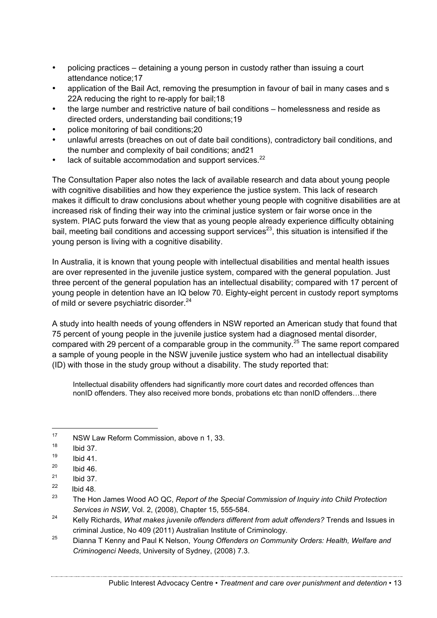- policing practices detaining a young person in custody rather than issuing a court attendance notice;17
- application of the Bail Act, removing the presumption in favour of bail in many cases and s 22A reducing the right to re-apply for bail:18
- the large number and restrictive nature of bail conditions homelessness and reside as directed orders, understanding bail conditions;19
- police monitoring of bail conditions;20
- unlawful arrests (breaches on out of date bail conditions), contradictory bail conditions, and the number and complexity of bail conditions; and21
- lack of suitable accommodation and support services.<sup>22</sup>

The Consultation Paper also notes the lack of available research and data about young people with cognitive disabilities and how they experience the justice system. This lack of research makes it difficult to draw conclusions about whether young people with cognitive disabilities are at increased risk of finding their way into the criminal justice system or fair worse once in the system. PIAC puts forward the view that as young people already experience difficulty obtaining bail, meeting bail conditions and accessing support services<sup>23</sup>, this situation is intensified if the young person is living with a cognitive disability.

In Australia, it is known that young people with intellectual disabilities and mental health issues are over represented in the juvenile justice system, compared with the general population. Just three percent of the general population has an intellectual disability; compared with 17 percent of young people in detention have an IQ below 70. Eighty-eight percent in custody report symptoms of mild or severe psychiatric disorder.<sup>24</sup>

A study into health needs of young offenders in NSW reported an American study that found that 75 percent of young people in the juvenile justice system had a diagnosed mental disorder, compared with 29 percent of a comparable group in the community.25 The same report compared a sample of young people in the NSW juvenile justice system who had an intellectual disability (ID) with those in the study group without a disability. The study reported that:

Intellectual disability offenders had significantly more court dates and recorded offences than nonID offenders. They also received more bonds, probations etc than nonID offenders…there

<sup>&</sup>lt;sup>17</sup> NSW Law Reform Commission, above n 1, 33.

 $^{18}$  Ibid 37.

 $\frac{19}{20}$  Ibid 41.

 $^{20}$  Ibid 46.

 $^{21}$  Ibid 37.

 $\frac{22}{23}$  Ibid 48.

<sup>23</sup> The Hon James Wood AO QC, *Report of the Special Commission of Inquiry into Child Protection Services in NSW*, Vol. 2, (2008), Chapter 15, 555-584.

<sup>24</sup> Kelly Richards, *What makes juvenile offenders different from adult offenders?* Trends and Issues in criminal Justice, No 409 (2011) Australian Institute of Criminology.

<sup>25</sup> Dianna T Kenny and Paul K Nelson, *Young Offenders on Community Orders: Health, Welfare and Criminogenci Needs*, University of Sydney, (2008) 7.3.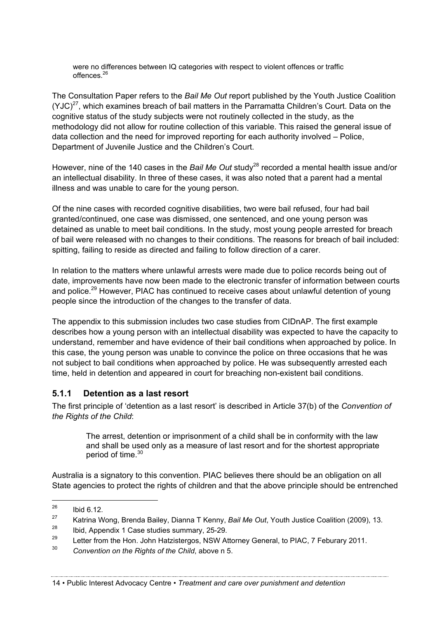were no differences between IQ categories with respect to violent offences or traffic offences<sup>26</sup>

The Consultation Paper refers to the *Bail Me Out* report published by the Youth Justice Coalition  $(YJC)^{27}$ , which examines breach of bail matters in the Parramatta Children's Court. Data on the cognitive status of the study subjects were not routinely collected in the study, as the methodology did not allow for routine collection of this variable. This raised the general issue of data collection and the need for improved reporting for each authority involved – Police, Department of Juvenile Justice and the Children's Court.

However, nine of the 140 cases in the *Bail Me Out* study<sup>28</sup> recorded a mental health issue and/or an intellectual disability. In three of these cases, it was also noted that a parent had a mental illness and was unable to care for the young person.

Of the nine cases with recorded cognitive disabilities, two were bail refused, four had bail granted/continued, one case was dismissed, one sentenced, and one young person was detained as unable to meet bail conditions. In the study, most young people arrested for breach of bail were released with no changes to their conditions. The reasons for breach of bail included: spitting, failing to reside as directed and failing to follow direction of a carer.

In relation to the matters where unlawful arrests were made due to police records being out of date, improvements have now been made to the electronic transfer of information between courts and police.<sup>29</sup> However, PIAC has continued to receive cases about unlawful detention of young people since the introduction of the changes to the transfer of data.

The appendix to this submission includes two case studies from CIDnAP. The first example describes how a young person with an intellectual disability was expected to have the capacity to understand, remember and have evidence of their bail conditions when approached by police. In this case, the young person was unable to convince the police on three occasions that he was not subject to bail conditions when approached by police. He was subsequently arrested each time, held in detention and appeared in court for breaching non-existent bail conditions.

#### **5.1.1 Detention as a last resort**

The first principle of 'detention as a last resort' is described in Article 37(b) of the *Convention of the Rights of the Child*:

The arrest, detention or imprisonment of a child shall be in conformity with the law and shall be used only as a measure of last resort and for the shortest appropriate period of time.<sup>30</sup>

Australia is a signatory to this convention. PIAC believes there should be an obligation on all State agencies to protect the rights of children and that the above principle should be entrenched

 $^{26}$  Ibid 6.12.

<sup>27</sup> Katrina Wong, Brenda Bailey, Dianna T Kenny, *Bail Me Out*, Youth Justice Coalition (2009), 13.

<sup>28</sup> Ibid, Appendix 1 Case studies summary, 25-29.

<sup>&</sup>lt;sup>29</sup> Letter from the Hon. John Hatzistergos, NSW Attorney General, to PIAC, 7 Feburary 2011.

<sup>30</sup> *Convention on the Rights of the Child*, above n 5.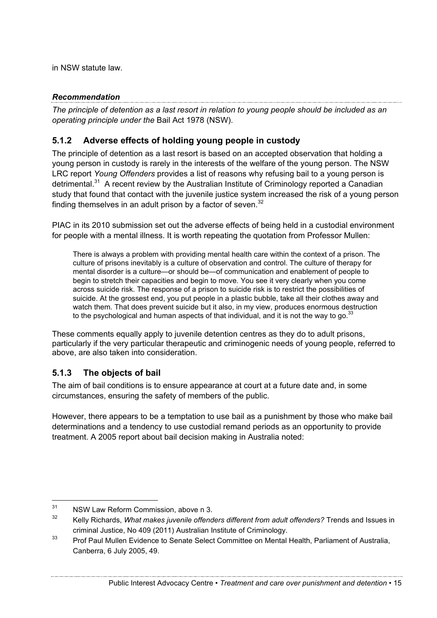in NSW statute law.

*Recommendation The principle of detention as a last resort in relation to young people should be included as an operating principle under the* Bail Act 1978 (NSW).

## **5.1.2 Adverse effects of holding young people in custody**

The principle of detention as a last resort is based on an accepted observation that holding a young person in custody is rarely in the interests of the welfare of the young person. The NSW LRC report *Young Offenders* provides a list of reasons why refusing bail to a young person is detrimental.<sup>31</sup> A recent review by the Australian Institute of Criminology reported a Canadian study that found that contact with the juvenile justice system increased the risk of a young person finding themselves in an adult prison by a factor of seven. $32$ 

PIAC in its 2010 submission set out the adverse effects of being held in a custodial environment for people with a mental illness. It is worth repeating the quotation from Professor Mullen:

There is always a problem with providing mental health care within the context of a prison. The culture of prisons inevitably is a culture of observation and control. The culture of therapy for mental disorder is a culture—or should be—of communication and enablement of people to begin to stretch their capacities and begin to move. You see it very clearly when you come across suicide risk. The response of a prison to suicide risk is to restrict the possibilities of suicide. At the grossest end, you put people in a plastic bubble, take all their clothes away and watch them. That does prevent suicide but it also, in my view, produces enormous destruction to the psychological and human aspects of that individual, and it is not the way to go. $33$ 

These comments equally apply to juvenile detention centres as they do to adult prisons, particularly if the very particular therapeutic and criminogenic needs of young people, referred to above, are also taken into consideration.

#### **5.1.3 The objects of bail**

The aim of bail conditions is to ensure appearance at court at a future date and, in some circumstances, ensuring the safety of members of the public.

However, there appears to be a temptation to use bail as a punishment by those who make bail determinations and a tendency to use custodial remand periods as an opportunity to provide treatment. A 2005 report about bail decision making in Australia noted:

<sup>&</sup>lt;sup>31</sup> NSW Law Reform Commission, above n 3.<br> $\frac{32}{2}$  K,  $\frac{1}{2}$  P.1.  $\frac{1}{2}$  M.  $\frac{1}{2}$  M.  $\frac{1}{2}$  M.  $\frac{1}{2}$  M.  $\frac{1}{2}$  M.  $\frac{1}{2}$  M.  $\frac{1}{2}$  M.  $\frac{1}{2}$  M.  $\frac{1}{2}$  M.  $\frac{1}{2}$  M.  $\frac{1}{2}$  M.  $\frac{1}{$ 

<sup>32</sup> Kelly Richards, *What makes juvenile offenders different from adult offenders?* Trends and Issues in criminal Justice, No 409 (2011) Australian Institute of Criminology.

<sup>&</sup>lt;sup>33</sup> Prof Paul Mullen Evidence to Senate Select Committee on Mental Health, Parliament of Australia, Canberra, 6 July 2005, 49.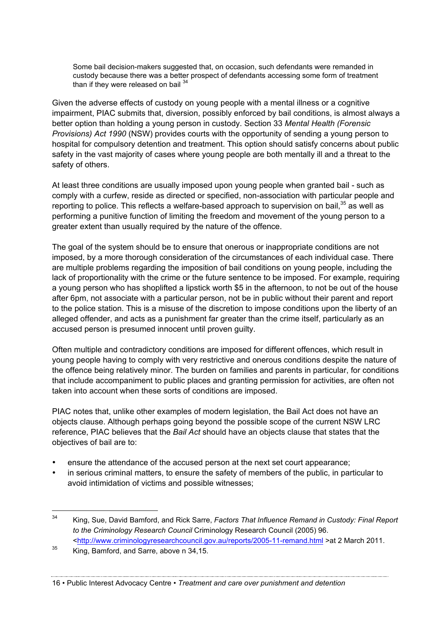Some bail decision-makers suggested that, on occasion, such defendants were remanded in custody because there was a better prospect of defendants accessing some form of treatment than if they were released on bail  $34$ 

Given the adverse effects of custody on young people with a mental illness or a cognitive impairment, PIAC submits that, diversion, possibly enforced by bail conditions, is almost always a better option than holding a young person in custody. Section 33 *Mental Health (Forensic Provisions) Act 1990* (NSW) provides courts with the opportunity of sending a young person to hospital for compulsory detention and treatment. This option should satisfy concerns about public safety in the vast majority of cases where young people are both mentally ill and a threat to the safety of others.

At least three conditions are usually imposed upon young people when granted bail - such as comply with a curfew, reside as directed or specified, non-association with particular people and reporting to police. This reflects a welfare-based approach to supervision on bail,<sup>35</sup> as well as performing a punitive function of limiting the freedom and movement of the young person to a greater extent than usually required by the nature of the offence.

The goal of the system should be to ensure that onerous or inappropriate conditions are not imposed, by a more thorough consideration of the circumstances of each individual case. There are multiple problems regarding the imposition of bail conditions on young people, including the lack of proportionality with the crime or the future sentence to be imposed. For example, requiring a young person who has shoplifted a lipstick worth \$5 in the afternoon, to not be out of the house after 6pm, not associate with a particular person, not be in public without their parent and report to the police station. This is a misuse of the discretion to impose conditions upon the liberty of an alleged offender, and acts as a punishment far greater than the crime itself, particularly as an accused person is presumed innocent until proven guilty.

Often multiple and contradictory conditions are imposed for different offences, which result in young people having to comply with very restrictive and onerous conditions despite the nature of the offence being relatively minor. The burden on families and parents in particular, for conditions that include accompaniment to public places and granting permission for activities, are often not taken into account when these sorts of conditions are imposed.

PIAC notes that, unlike other examples of modern legislation, the Bail Act does not have an objects clause. Although perhaps going beyond the possible scope of the current NSW LRC reference, PIAC believes that the *Bail Act* should have an objects clause that states that the objectives of bail are to:

- ensure the attendance of the accused person at the next set court appearance;
- in serious criminal matters, to ensure the safety of members of the public, in particular to avoid intimidation of victims and possible witnesses;

#### 16 • Public Interest Advocacy Centre • *Treatment and care over punishment and detention*

 <sup>34</sup> King, Sue, David Bamford, and Rick Sarre, *Factors That Influence Remand in Custody: Final Report to the Criminology Research Council* Criminology Research Council (2005) 96. <http://www.criminologyresearchcouncil.gov.au/reports/2005-11-remand.html >at 2 March 2011.

 $35$  King, Bamford, and Sarre, above n 34,15.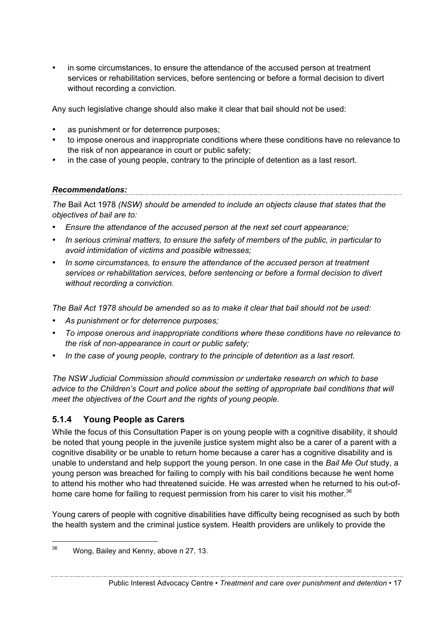• in some circumstances, to ensure the attendance of the accused person at treatment services or rehabilitation services, before sentencing or before a formal decision to divert without recording a conviction.

Any such legislative change should also make it clear that bail should not be used:

- as punishment or for deterrence purposes:
- to impose onerous and inappropriate conditions where these conditions have no relevance to the risk of non appearance in court or public safety;
- in the case of young people, contrary to the principle of detention as a last resort.

# *Recommendations:*

*The* Bail Act 1978 *(NSW) should be amended to include an objects clause that states that the objectives of bail are to:*

- *Ensure the attendance of the accused person at the next set court appearance;*
- *In serious criminal matters, to ensure the safety of members of the public, in particular to avoid intimidation of victims and possible witnesses;*
- *In some circumstances, to ensure the attendance of the accused person at treatment services or rehabilitation services, before sentencing or before a formal decision to divert without recording a conviction.*

*The Bail Act 1978 should be amended so as to make it clear that bail should not be used:*

- *As punishment or for deterrence purposes;*
- *To impose onerous and inappropriate conditions where these conditions have no relevance to the risk of non-appearance in court or public safety;*
- *In the case of young people, contrary to the principle of detention as a last resort.*

*The NSW Judicial Commission should commission or undertake research on which to base advice to the Children's Court and police about the setting of appropriate bail conditions that will meet the objectives of the Court and the rights of young people.*

## **5.1.4 Young People as Carers**

While the focus of this Consultation Paper is on young people with a cognitive disability, it should be noted that young people in the juvenile justice system might also be a carer of a parent with a cognitive disability or be unable to return home because a carer has a cognitive disability and is unable to understand and help support the young person. In one case in the *Bail Me Out* study, a young person was breached for failing to comply with his bail conditions because he went home to attend his mother who had threatened suicide. He was arrested when he returned to his out-ofhome care home for failing to request permission from his carer to visit his mother.<sup>36</sup>

Young carers of people with cognitive disabilities have difficulty being recognised as such by both the health system and the criminal justice system. Health providers are unlikely to provide the

Public Interest Advocacy Centre • *Treatment and care over punishment and detention* • 17

 $36$  Wong, Bailey and Kenny, above n 27, 13.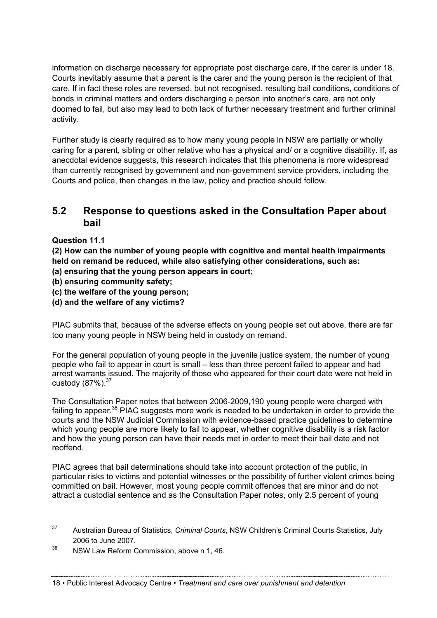information on discharge necessary for appropriate post discharge care, if the carer is under 18. Courts inevitably assume that a parent is the carer and the young person is the recipient of that care. If in fact these roles are reversed, but not recognised, resulting bail conditions, conditions of bonds in criminal matters and orders discharging a person into another's care, are not only doomed to fail, but also may lead to both lack of further necessary treatment and further criminal activity.

Further study is clearly required as to how many young people in NSW are partially or wholly caring for a parent, sibling or other relative who has a physical and/ or a cognitive disability. If, as anecdotal evidence suggests, this research indicates that this phenomena is more widespread than currently recognised by government and non-government service providers, including the Courts and police, then changes in the law, policy and practice should follow.

## **5.2 Response to questions asked in the Consultation Paper about bail**

#### **Question 11.1**

**(2) How can the number of young people with cognitive and mental health impairments held on remand be reduced, while also satisfying other considerations, such as:**

- **(a) ensuring that the young person appears in court;**
- **(b) ensuring community safety;**
- **(c) the welfare of the young person;**
- **(d) and the welfare of any victims?**

PIAC submits that, because of the adverse effects on young people set out above, there are far too many young people in NSW being held in custody on remand.

For the general population of young people in the juvenile justice system, the number of young people who fail to appear in court is small – less than three percent failed to appear and had arrest warrants issued. The majority of those who appeared for their court date were not held in custody  $(87\%)$ .  $37$ 

The Consultation Paper notes that between 2006-2009,190 young people were charged with failing to appear.<sup>38</sup> PIAC suggests more work is needed to be undertaken in order to provide the courts and the NSW Judicial Commission with evidence-based practice guidelines to determine which young people are more likely to fail to appear, whether cognitive disability is a risk factor and how the young person can have their needs met in order to meet their bail date and not reoffend.

PIAC agrees that bail determinations should take into account protection of the public, in particular risks to victims and potential witnesses or the possibility of further violent crimes being committed on bail. However, most young people commit offences that are minor and do not attract a custodial sentence and as the Consultation Paper notes, only 2.5 percent of young

#### 18 • Public Interest Advocacy Centre • *Treatment and care over punishment and detention*

 <sup>37</sup> Australian Bureau of Statistics, *Criminal Courts*, NSW Children's Criminal Courts Statistics, July 2006 to June 2007.

<sup>&</sup>lt;sup>38</sup> NSW Law Reform Commission, above n 1, 46.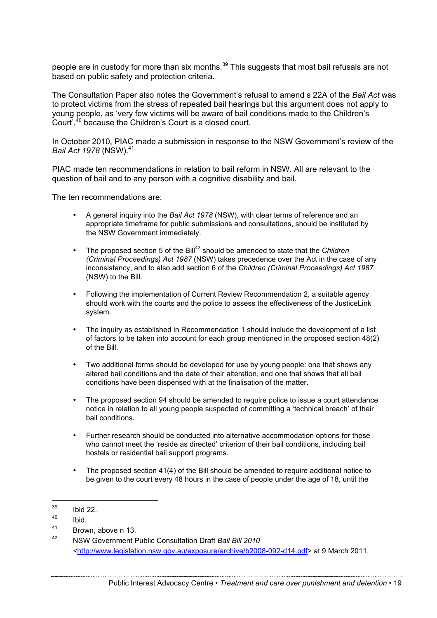people are in custody for more than six months.<sup>39</sup> This suggests that most bail refusals are not based on public safety and protection criteria.

The Consultation Paper also notes the Government's refusal to amend s 22A of the *Bail Act* was to protect victims from the stress of repeated bail hearings but this argument does not apply to young people, as 'very few victims will be aware of bail conditions made to the Children's Court<sup>', 40</sup> because the Children's Court is a closed court.

In October 2010, PIAC made a submission in response to the NSW Government's review of the *Bail Act 1978* (NSW).<sup>41</sup>

PIAC made ten recommendations in relation to bail reform in NSW. All are relevant to the question of bail and to any person with a cognitive disability and bail.

The ten recommendations are:

- A general inquiry into the *Bail Act 1978* (NSW), with clear terms of reference and an appropriate timeframe for public submissions and consultations, should be instituted by the NSW Government immediately.
- The proposed section 5 of the Bill<sup>42</sup> should be amended to state that the *Children (Criminal Proceedings) Act 1987* (NSW) takes precedence over the Act in the case of any inconsistency, and to also add section 6 of the *Children (Criminal Proceedings) Act 1987*  (NSW) to the Bill.
- Following the implementation of Current Review Recommendation 2, a suitable agency should work with the courts and the police to assess the effectiveness of the JusticeLink system.
- The inquiry as established in Recommendation 1 should include the development of a list of factors to be taken into account for each group mentioned in the proposed section 48(2) of the Bill.
- Two additional forms should be developed for use by young people: one that shows any altered bail conditions and the date of their alteration, and one that shows that all bail conditions have been dispensed with at the finalisation of the matter.
- The proposed section 94 should be amended to require police to issue a court attendance notice in relation to all young people suspected of committing a 'technical breach' of their bail conditions.
- Further research should be conducted into alternative accommodation options for those who cannot meet the 'reside as directed' criterion of their bail conditions, including bail hostels or residential bail support programs.
- The proposed section 41(4) of the Bill should be amended to require additional notice to be given to the court every 48 hours in the case of people under the age of 18, until the

 $\frac{39}{40}$  Ibid 22.

 $^{40}$  Ibid.

 $\frac{41}{42}$  Brown, above n 13.

<sup>42</sup> NSW Government Public Consultation Draft *Bail Bill 2010 <*http://www.legislation.nsw.gov.au/exposure/archive/b2008-092-d14.pdf> at 9 March 2011.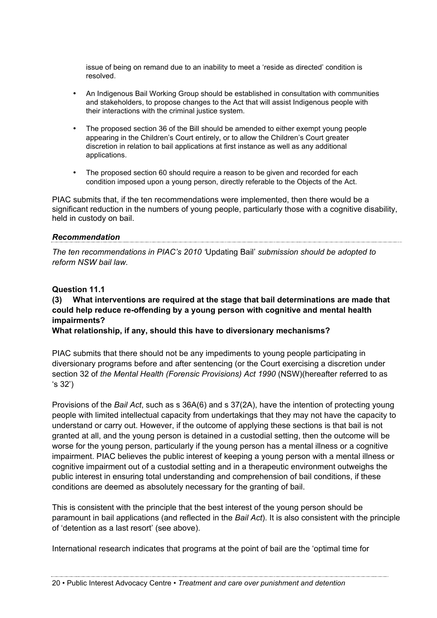issue of being on remand due to an inability to meet a 'reside as directed' condition is resolved.

- An Indigenous Bail Working Group should be established in consultation with communities and stakeholders, to propose changes to the Act that will assist Indigenous people with their interactions with the criminal justice system.
- The proposed section 36 of the Bill should be amended to either exempt young people appearing in the Children's Court entirely, or to allow the Children's Court greater discretion in relation to bail applications at first instance as well as any additional applications.
- The proposed section 60 should require a reason to be given and recorded for each condition imposed upon a young person, directly referable to the Objects of the Act.

PIAC submits that, if the ten recommendations were implemented, then there would be a significant reduction in the numbers of young people, particularly those with a cognitive disability, held in custody on bail.

#### *Recommendation*

*The ten recommendations in PIAC's 2010 '*Updating Bail' *submission should be adopted to reform NSW bail law.*

#### **Question 11.1**

#### **(3) What interventions are required at the stage that bail determinations are made that could help reduce re-offending by a young person with cognitive and mental health impairments?**

**What relationship, if any, should this have to diversionary mechanisms?**

PIAC submits that there should not be any impediments to young people participating in diversionary programs before and after sentencing (or the Court exercising a discretion under section 32 of *the Mental Health (Forensic Provisions) Act 1990* (NSW)(hereafter referred to as 's 32')

Provisions of the *Bail Act*, such as s 36A(6) and s 37(2A), have the intention of protecting young people with limited intellectual capacity from undertakings that they may not have the capacity to understand or carry out. However, if the outcome of applying these sections is that bail is not granted at all, and the young person is detained in a custodial setting, then the outcome will be worse for the young person, particularly if the young person has a mental illness or a cognitive impairment. PIAC believes the public interest of keeping a young person with a mental illness or cognitive impairment out of a custodial setting and in a therapeutic environment outweighs the public interest in ensuring total understanding and comprehension of bail conditions, if these conditions are deemed as absolutely necessary for the granting of bail.

This is consistent with the principle that the best interest of the young person should be paramount in bail applications (and reflected in the *Bail Act*). It is also consistent with the principle of 'detention as a last resort' (see above).

International research indicates that programs at the point of bail are the 'optimal time for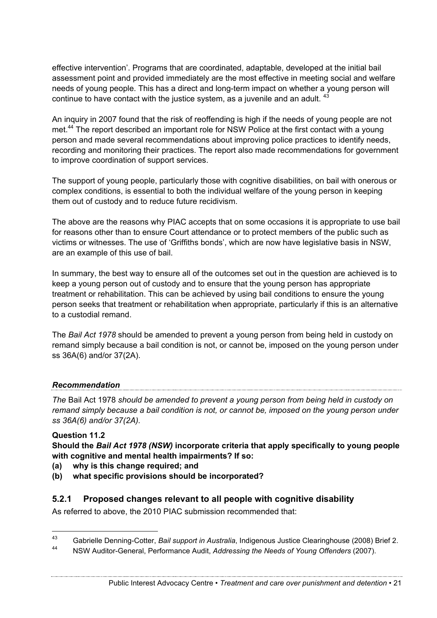effective intervention'. Programs that are coordinated, adaptable, developed at the initial bail assessment point and provided immediately are the most effective in meeting social and welfare needs of young people. This has a direct and long-term impact on whether a young person will continue to have contact with the justice system, as a juvenile and an adult. <sup>43</sup>

An inquiry in 2007 found that the risk of reoffending is high if the needs of young people are not met.<sup>44</sup> The report described an important role for NSW Police at the first contact with a young person and made several recommendations about improving police practices to identify needs, recording and monitoring their practices. The report also made recommendations for government to improve coordination of support services.

The support of young people, particularly those with cognitive disabilities, on bail with onerous or complex conditions, is essential to both the individual welfare of the young person in keeping them out of custody and to reduce future recidivism.

The above are the reasons why PIAC accepts that on some occasions it is appropriate to use bail for reasons other than to ensure Court attendance or to protect members of the public such as victims or witnesses. The use of 'Griffiths bonds', which are now have legislative basis in NSW, are an example of this use of bail.

In summary, the best way to ensure all of the outcomes set out in the question are achieved is to keep a young person out of custody and to ensure that the young person has appropriate treatment or rehabilitation. This can be achieved by using bail conditions to ensure the young person seeks that treatment or rehabilitation when appropriate, particularly if this is an alternative to a custodial remand.

The *Bail Act 1978* should be amended to prevent a young person from being held in custody on remand simply because a bail condition is not, or cannot be, imposed on the young person under ss 36A(6) and/or 37(2A).

## *Recommendation*

*The* Bail Act 1978 *should be amended to prevent a young person from being held in custody on remand simply because a bail condition is not, or cannot be, imposed on the young person under ss 36A(6) and/or 37(2A).* 

#### **Question 11.2**

**Should the** *Bail Act 1978 (NSW)* **incorporate criteria that apply specifically to young people with cognitive and mental health impairments? If so:**

- **(a) why is this change required; and**
- **(b) what specific provisions should be incorporated?**

#### **5.2.1 Proposed changes relevant to all people with cognitive disability**

As referred to above, the 2010 PIAC submission recommended that:

 <sup>43</sup> Gabrielle Denning-Cotter, *Bail support in Australia*, Indigenous Justice Clearinghouse (2008) Brief 2.

<sup>44</sup> NSW Auditor-General, Performance Audit, *Addressing the Needs of Young Offenders* (2007).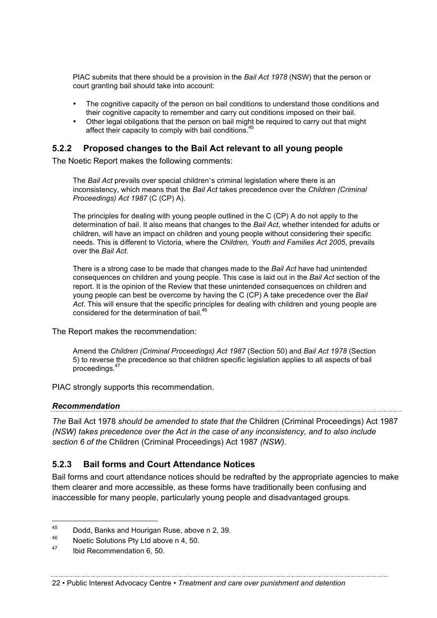PIAC submits that there should be a provision in the *Bail Act 1978* (NSW) that the person or court granting bail should take into account:

- The cognitive capacity of the person on bail conditions to understand those conditions and their cognitive capacity to remember and carry out conditions imposed on their bail.
- Other legal obligations that the person on bail might be required to carry out that might affect their capacity to comply with bail conditions.<sup>45</sup>

#### **5.2.2 Proposed changes to the Bail Act relevant to all young people**

The Noetic Report makes the following comments:

The *Bail Act* prevails over special children's criminal legislation where there is an inconsistency, which means that the *Bail Act* takes precedence over the *Children (Criminal Proceedings) Act 1987* (C (CP) A).

The principles for dealing with young people outlined in the C (CP) A do not apply to the determination of bail. It also means that changes to the *Bail Act*, whether intended for adults or children, will have an impact on children and young people without considering their specific needs. This is different to Victoria, where the *Children, Youth and Families Act 2005*, prevails over the *Bail Act.*

There is a strong case to be made that changes made to the *Bail Act* have had unintended consequences on children and young people. This case is laid out in the *Bail Act* section of the report. It is the opinion of the Review that these unintended consequences on children and young people can best be overcome by having the C (CP) A take precedence over the *Bail Act*. This will ensure that the specific principles for dealing with children and young people are considered for the determination of bail.<sup>46</sup>

The Report makes the recommendation:

Amend the *Children (Criminal Proceedings) Act 1987* (Section 50) and *Bail Act 1978* (Section 5) to reverse the precedence so that children specific legislation applies to all aspects of bail proceedings.<sup>47</sup>

PIAC strongly supports this recommendation.

#### *Recommendation*

*The* Bail Act 1978 *should be amended to state that the* Children (Criminal Proceedings) Act 1987 *(NSW) takes precedence over the Act in the case of any inconsistency, and to also include section 6 of the* Children (Criminal Proceedings) Act 1987 *(NSW).*

#### **5.2.3 Bail forms and Court Attendance Notices**

Bail forms and court attendance notices should be redrafted by the appropriate agencies to make them clearer and more accessible, as these forms have traditionally been confusing and inaccessible for many people, particularly young people and disadvantaged groups.

<sup>&</sup>lt;sup>45</sup> Dodd, Banks and Hourigan Ruse, above n 2, 39.<br><sup>46</sup> Nestis Solutions Phul td obous n 4, 50.

Noetic Solutions Pty Ltd above n 4, 50.

<sup>47</sup> Ibid Recommendation 6, 50.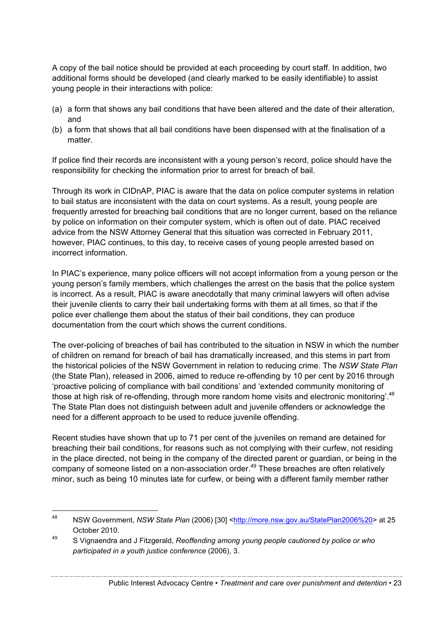A copy of the bail notice should be provided at each proceeding by court staff. In addition, two additional forms should be developed (and clearly marked to be easily identifiable) to assist young people in their interactions with police:

- (a) a form that shows any bail conditions that have been altered and the date of their alteration, and
- (b) a form that shows that all bail conditions have been dispensed with at the finalisation of a matter.

If police find their records are inconsistent with a young person's record, police should have the responsibility for checking the information prior to arrest for breach of bail.

Through its work in CIDnAP, PIAC is aware that the data on police computer systems in relation to bail status are inconsistent with the data on court systems. As a result, young people are frequently arrested for breaching bail conditions that are no longer current, based on the reliance by police on information on their computer system, which is often out of date. PIAC received advice from the NSW Attorney General that this situation was corrected in February 2011, however, PIAC continues, to this day, to receive cases of young people arrested based on incorrect information.

In PIAC's experience, many police officers will not accept information from a young person or the young person's family members, which challenges the arrest on the basis that the police system is incorrect. As a result, PIAC is aware anecdotally that many criminal lawyers will often advise their juvenile clients to carry their bail undertaking forms with them at all times, so that if the police ever challenge them about the status of their bail conditions, they can produce documentation from the court which shows the current conditions.

The over-policing of breaches of bail has contributed to the situation in NSW in which the number of children on remand for breach of bail has dramatically increased, and this stems in part from the historical policies of the NSW Government in relation to reducing crime. The *NSW State Plan* (the State Plan), released in 2006, aimed to reduce re-offending by 10 per cent by 2016 through 'proactive policing of compliance with bail conditions' and 'extended community monitoring of those at high risk of re-offending, through more random home visits and electronic monitoring'.<sup>48</sup> The State Plan does not distinguish between adult and juvenile offenders or acknowledge the need for a different approach to be used to reduce juvenile offending.

Recent studies have shown that up to 71 per cent of the juveniles on remand are detained for breaching their bail conditions, for reasons such as not complying with their curfew, not residing in the place directed, not being in the company of the directed parent or guardian, or being in the company of someone listed on a non-association order.<sup>49</sup> These breaches are often relatively minor, such as being 10 minutes late for curfew, or being with a different family member rather

<sup>&</sup>lt;sup>48</sup> NSW Government, *NSW State Plan* (2006) [30] <http://more.nsw.gov.au/StatePlan2006%20> at 25 October 2010.

<sup>49</sup> S Vignaendra and J Fitzgerald, *Reoffending among young people cautioned by police or who participated in a youth justice conference* (2006), 3.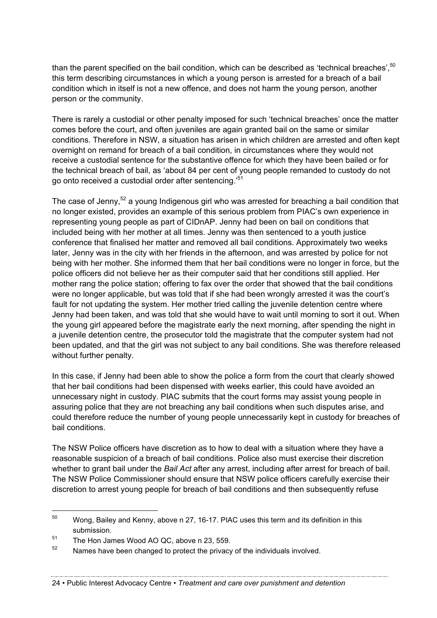than the parent specified on the bail condition, which can be described as 'technical breaches'.<sup>50</sup> this term describing circumstances in which a young person is arrested for a breach of a bail condition which in itself is not a new offence, and does not harm the young person, another person or the community.

There is rarely a custodial or other penalty imposed for such 'technical breaches' once the matter comes before the court, and often juveniles are again granted bail on the same or similar conditions. Therefore in NSW, a situation has arisen in which children are arrested and often kept overnight on remand for breach of a bail condition, in circumstances where they would not receive a custodial sentence for the substantive offence for which they have been bailed or for the technical breach of bail, as 'about 84 per cent of young people remanded to custody do not go onto received a custodial order after sentencing.'<sup>51</sup>

The case of Jenny,<sup>52</sup> a young Indigenous girl who was arrested for breaching a bail condition that no longer existed, provides an example of this serious problem from PIAC's own experience in representing young people as part of CIDnAP. Jenny had been on bail on conditions that included being with her mother at all times. Jenny was then sentenced to a youth justice conference that finalised her matter and removed all bail conditions. Approximately two weeks later, Jenny was in the city with her friends in the afternoon, and was arrested by police for not being with her mother. She informed them that her bail conditions were no longer in force, but the police officers did not believe her as their computer said that her conditions still applied. Her mother rang the police station; offering to fax over the order that showed that the bail conditions were no longer applicable, but was told that if she had been wrongly arrested it was the court's fault for not updating the system. Her mother tried calling the juvenile detention centre where Jenny had been taken, and was told that she would have to wait until morning to sort it out. When the young girl appeared before the magistrate early the next morning, after spending the night in a juvenile detention centre, the prosecutor told the magistrate that the computer system had not been updated, and that the girl was not subject to any bail conditions. She was therefore released without further penalty.

In this case, if Jenny had been able to show the police a form from the court that clearly showed that her bail conditions had been dispensed with weeks earlier, this could have avoided an unnecessary night in custody. PIAC submits that the court forms may assist young people in assuring police that they are not breaching any bail conditions when such disputes arise, and could therefore reduce the number of young people unnecessarily kept in custody for breaches of bail conditions.

The NSW Police officers have discretion as to how to deal with a situation where they have a reasonable suspicion of a breach of bail conditions. Police also must exercise their discretion whether to grant bail under the *Bail Act* after any arrest, including after arrest for breach of bail. The NSW Police Commissioner should ensure that NSW police officers carefully exercise their discretion to arrest young people for breach of bail conditions and then subsequently refuse

 $50$  Wong, Bailey and Kenny, above n 27, 16-17. PIAC uses this term and its definition in this submission.

<sup>&</sup>lt;sup>51</sup> The Hon James Wood AO QC, above n 23, 559.

 $52$  Names have been changed to protect the privacy of the individuals involved.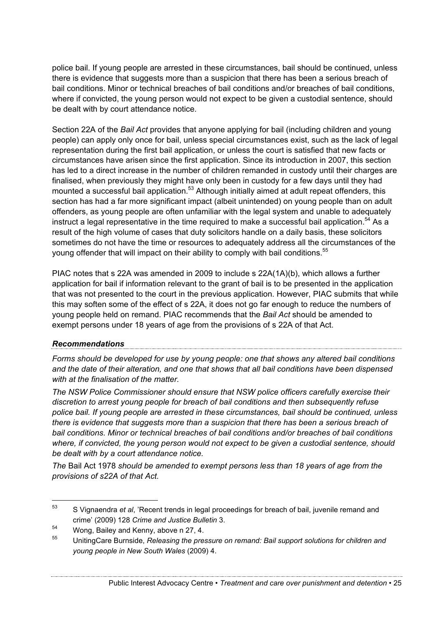police bail. If young people are arrested in these circumstances, bail should be continued, unless there is evidence that suggests more than a suspicion that there has been a serious breach of bail conditions. Minor or technical breaches of bail conditions and/or breaches of bail conditions, where if convicted, the young person would not expect to be given a custodial sentence, should be dealt with by court attendance notice.

Section 22A of the *Bail Act* provides that anyone applying for bail (including children and young people) can apply only once for bail, unless special circumstances exist, such as the lack of legal representation during the first bail application, or unless the court is satisfied that new facts or circumstances have arisen since the first application. Since its introduction in 2007, this section has led to a direct increase in the number of children remanded in custody until their charges are finalised, when previously they might have only been in custody for a few days until they had mounted a successful bail application.<sup>53</sup> Although initially aimed at adult repeat offenders, this section has had a far more significant impact (albeit unintended) on young people than on adult offenders, as young people are often unfamiliar with the legal system and unable to adequately instruct a legal representative in the time required to make a successful bail application.<sup>54</sup> As a result of the high volume of cases that duty solicitors handle on a daily basis, these solicitors sometimes do not have the time or resources to adequately address all the circumstances of the young offender that will impact on their ability to comply with bail conditions.<sup>55</sup>

PIAC notes that s 22A was amended in 2009 to include s 22A(1A)(b), which allows a further application for bail if information relevant to the grant of bail is to be presented in the application that was not presented to the court in the previous application. However, PIAC submits that while this may soften some of the effect of s 22A, it does not go far enough to reduce the numbers of young people held on remand. PIAC recommends that the *Bail Act* should be amended to exempt persons under 18 years of age from the provisions of s 22A of that Act.

# *Recommendations*

*Forms should be developed for use by young people: one that shows any altered bail conditions and the date of their alteration, and one that shows that all bail conditions have been dispensed with at the finalisation of the matter.*

*The NSW Police Commissioner should ensure that NSW police officers carefully exercise their discretion to arrest young people for breach of bail conditions and then subsequently refuse police bail. If young people are arrested in these circumstances, bail should be continued, unless there is evidence that suggests more than a suspicion that there has been a serious breach of bail conditions. Minor or technical breaches of bail conditions and/or breaches of bail conditions where, if convicted, the young person would not expect to be given a custodial sentence, should be dealt with by a court attendance notice.*

*The* Bail Act 1978 *should be amended to exempt persons less than 18 years of age from the provisions of s22A of that Act.*

 <sup>53</sup> S Vignaendra *et al*, 'Recent trends in legal proceedings for breach of bail, juvenile remand and crime' (2009) 128 *Crime and Justice Bulletin* 3.

<sup>54</sup> Wong, Bailey and Kenny, above n 27, 4.

<sup>55</sup> UnitingCare Burnside, *Releasing the pressure on remand: Bail support solutions for children and young people in New South Wales* (2009) 4.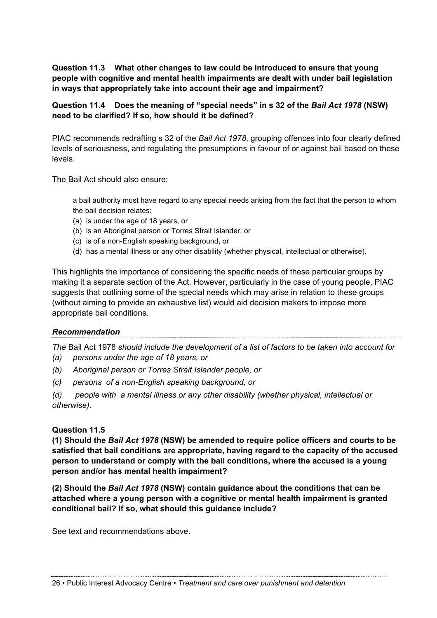**Question 11.3 What other changes to law could be introduced to ensure that young people with cognitive and mental health impairments are dealt with under bail legislation in ways that appropriately take into account their age and impairment?**

#### **Question 11.4 Does the meaning of "special needs" in s 32 of the** *Bail Act 1978* **(NSW) need to be clarified? If so, how should it be defined?**

PIAC recommends redrafting s 32 of the *Bail Act 1978*, grouping offences into four clearly defined levels of seriousness, and regulating the presumptions in favour of or against bail based on these levels.

The Bail Act should also ensure:

a bail authority must have regard to any special needs arising from the fact that the person to whom the bail decision relates:

- (a) is under the age of 18 years, or
- (b) is an Aboriginal person or Torres Strait Islander, or
- (c) is of a non-English speaking background, or
- (d) has a mental illness or any other disability (whether physical, intellectual or otherwise).

This highlights the importance of considering the specific needs of these particular groups by making it a separate section of the Act. However, particularly in the case of young people, PIAC suggests that outlining some of the special needs which may arise in relation to these groups (without aiming to provide an exhaustive list) would aid decision makers to impose more appropriate bail conditions.

#### *Recommendation*

*The* Bail Act 1978 *should include the development of a list of factors to be taken into account for (a) persons under the age of 18 years, or*

*(b) Aboriginal person or Torres Strait Islander people, or*

*(c) persons of a non-English speaking background, or* 

*(d) people with a mental illness or any other disability (whether physical, intellectual or otherwise).*

#### **Question 11.5**

**(1) Should the** *Bail Act 1978* **(NSW) be amended to require police officers and courts to be satisfied that bail conditions are appropriate, having regard to the capacity of the accused person to understand or comply with the bail conditions, where the accused is a young person and/or has mental health impairment?**

**(2) Should the** *Bail Act 1978* **(NSW) contain guidance about the conditions that can be attached where a young person with a cognitive or mental health impairment is granted conditional bail? If so, what should this guidance include?**

See text and recommendations above.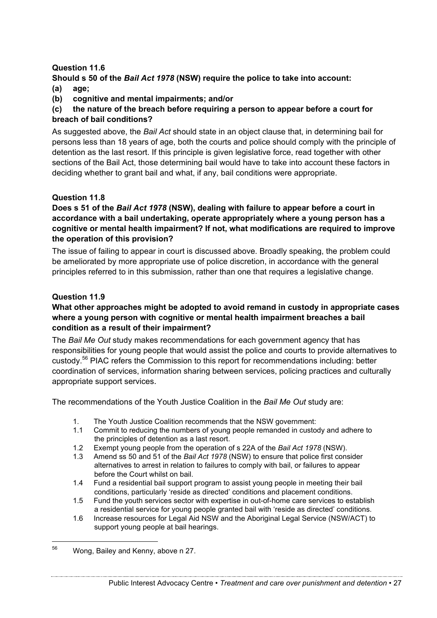#### **Question 11.6**

#### **Should s 50 of the** *Bail Act 1978* **(NSW) require the police to take into account: (a) age;**

**(b) cognitive and mental impairments; and/or** 

#### **(c) the nature of the breach before requiring a person to appear before a court for breach of bail conditions?**

As suggested above, the *Bail Act* should state in an object clause that, in determining bail for persons less than 18 years of age, both the courts and police should comply with the principle of detention as the last resort. If this principle is given legislative force, read together with other sections of the Bail Act, those determining bail would have to take into account these factors in deciding whether to grant bail and what, if any, bail conditions were appropriate.

#### **Question 11.8**

#### **Does s 51 of the** *Bail Act 1978* **(NSW), dealing with failure to appear before a court in accordance with a bail undertaking, operate appropriately where a young person has a cognitive or mental health impairment? If not, what modifications are required to improve the operation of this provision?**

The issue of failing to appear in court is discussed above. Broadly speaking, the problem could be ameliorated by more appropriate use of police discretion, in accordance with the general principles referred to in this submission, rather than one that requires a legislative change.

#### **Question 11.9**

#### **What other approaches might be adopted to avoid remand in custody in appropriate cases where a young person with cognitive or mental health impairment breaches a bail condition as a result of their impairment?**

The *Bail Me Out* study makes recommendations for each government agency that has responsibilities for young people that would assist the police and courts to provide alternatives to custody.<sup>56</sup> PIAC refers the Commission to this report for recommendations including: better coordination of services, information sharing between services, policing practices and culturally appropriate support services.

The recommendations of the Youth Justice Coalition in the *Bail Me Out* study are:

- 1. The Youth Justice Coalition recommends that the NSW government:
- 1.1 Commit to reducing the numbers of young people remanded in custody and adhere to the principles of detention as a last resort.
- 1.2 Exempt young people from the operation of s 22A of the *Bail Act 1978* (NSW).
- 1.3 Amend ss 50 and 51 of the *Bail Act 1978* (NSW) to ensure that police first consider alternatives to arrest in relation to failures to comply with bail, or failures to appear before the Court whilst on bail.
- 1.4 Fund a residential bail support program to assist young people in meeting their bail conditions, particularly 'reside as directed' conditions and placement conditions.
- 1.5 Fund the youth services sector with expertise in out-of-home care services to establish a residential service for young people granted bail with 'reside as directed' conditions.
- 1.6 Increase resources for Legal Aid NSW and the Aboriginal Legal Service (NSW/ACT) to support young people at bail hearings.

<sup>&</sup>lt;sup>56</sup> Wong, Bailey and Kenny, above n 27.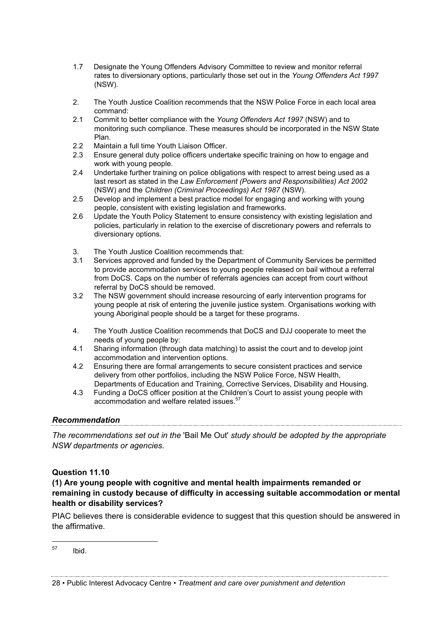- 1.7 Designate the Young Offenders Advisory Committee to review and monitor referral rates to diversionary options, particularly those set out in the *Young Offenders Act 1997* (NSW).
- 2. The Youth Justice Coalition recommends that the NSW Police Force in each local area command:
- 2.1 Commit to better compliance with the *Young Offenders Act 1997* (NSW) and to monitoring such compliance. These measures should be incorporated in the NSW State Plan.
- 2.2 Maintain a full time Youth Liaison Officer.
- 2.3 Ensure general duty police officers undertake specific training on how to engage and work with young people.
- 2.4 Undertake further training on police obligations with respect to arrest being used as a last resort as stated in the *Law Enforcement (Powers and Responsibilities) Act 2002* (NSW) and the *Children (Criminal Proceedings) Act 1987* (NSW).
- 2.5 Develop and implement a best practice model for engaging and working with young people, consistent with existing legislation and frameworks.
- 2.6 Update the Youth Policy Statement to ensure consistency with existing legislation and policies, particularly in relation to the exercise of discretionary powers and referrals to diversionary options.
- 3. The Youth Justice Coalition recommends that:
- 3.1 Services approved and funded by the Department of Community Services be permitted to provide accommodation services to young people released on bail without a referral from DoCS. Caps on the number of referrals agencies can accept from court without referral by DoCS should be removed.
- 3.2 The NSW government should increase resourcing of early intervention programs for young people at risk of entering the juvenile justice system. Organisations working with young Aboriginal people should be a target for these programs.
- 4. The Youth Justice Coalition recommends that DoCS and DJJ cooperate to meet the needs of young people by:
- 4.1 Sharing information (through data matching) to assist the court and to develop joint accommodation and intervention options.
- 4.2 Ensuring there are formal arrangements to secure consistent practices and service delivery from other portfolios, including the NSW Police Force, NSW Health, Departments of Education and Training, Corrective Services, Disability and Housing.
- 4.3 Funding a DoCS officer position at the Children's Court to assist young people with accommodation and welfare related issues.<sup>57</sup>

#### *Recommendation*

*The recommendations set out in the* 'Bail Me Out' *study should be adopted by the appropriate NSW departments or agencies.* 

#### **Question 11.10**

#### **(1) Are young people with cognitive and mental health impairments remanded or remaining in custody because of difficulty in accessing suitable accommodation or mental health or disability services?**

PIAC believes there is considerable evidence to suggest that this question should be answered in the affirmative.

57 Ibid.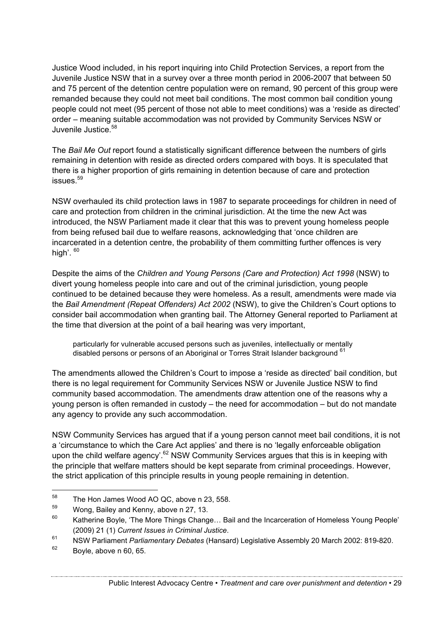Justice Wood included, in his report inquiring into Child Protection Services, a report from the Juvenile Justice NSW that in a survey over a three month period in 2006-2007 that between 50 and 75 percent of the detention centre population were on remand, 90 percent of this group were remanded because they could not meet bail conditions. The most common bail condition young people could not meet (95 percent of those not able to meet conditions) was a 'reside as directed' order – meaning suitable accommodation was not provided by Community Services NSW or Juvenile Justice.<sup>58</sup>

The *Bail Me Out* report found a statistically significant difference between the numbers of girls remaining in detention with reside as directed orders compared with boys. It is speculated that there is a higher proportion of girls remaining in detention because of care and protection  $is sues<sup>59</sup>$ 

NSW overhauled its child protection laws in 1987 to separate proceedings for children in need of care and protection from children in the criminal jurisdiction. At the time the new Act was introduced, the NSW Parliament made it clear that this was to prevent young homeless people from being refused bail due to welfare reasons, acknowledging that 'once children are incarcerated in a detention centre, the probability of them committing further offences is very high'.  $60$ 

Despite the aims of the *Children and Young Persons (Care and Protection) Act 1998* (NSW) to divert young homeless people into care and out of the criminal jurisdiction, young people continued to be detained because they were homeless. As a result, amendments were made via the *Bail Amendment (Repeat Offenders) Act 2002* (NSW), to give the Children's Court options to consider bail accommodation when granting bail. The Attorney General reported to Parliament at the time that diversion at the point of a bail hearing was very important,

particularly for vulnerable accused persons such as juveniles, intellectually or mentally disabled persons or persons of an Aboriginal or Torres Strait Islander background 61

The amendments allowed the Children's Court to impose a 'reside as directed' bail condition, but there is no legal requirement for Community Services NSW or Juvenile Justice NSW to find community based accommodation. The amendments draw attention one of the reasons why a young person is often remanded in custody – the need for accommodation – but do not mandate any agency to provide any such accommodation.

NSW Community Services has argued that if a young person cannot meet bail conditions, it is not a 'circumstance to which the Care Act applies' and there is no 'legally enforceable obligation upon the child welfare agency'.<sup>62</sup> NSW Community Services argues that this is in keeping with the principle that welfare matters should be kept separate from criminal proceedings. However, the strict application of this principle results in young people remaining in detention.

<sup>&</sup>lt;sup>58</sup> The Hon James Wood AO QC, above n 23, 558.<br> $\frac{59}{2}$  Weng, Bailey and Kenny, above n 27, 12

 $^{59}$  Wong, Bailey and Kenny, above n 27, 13.

Katherine Boyle, 'The More Things Change... Bail and the Incarceration of Homeless Young People' (2009) 21 (1) *Current Issues in Criminal Justice*.

<sup>61</sup> NSW Parliament *Parliamentary Debates* (Hansard) Legislative Assembly 20 March 2002: 819-820.

 $62$  Boyle, above n 60, 65.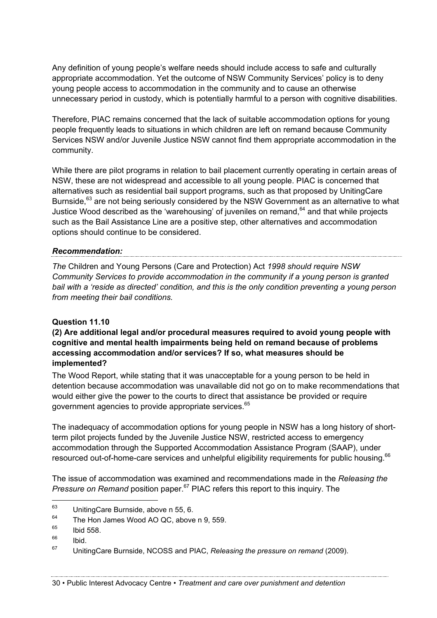Any definition of young people's welfare needs should include access to safe and culturally appropriate accommodation. Yet the outcome of NSW Community Services' policy is to deny young people access to accommodation in the community and to cause an otherwise unnecessary period in custody, which is potentially harmful to a person with cognitive disabilities.

Therefore, PIAC remains concerned that the lack of suitable accommodation options for young people frequently leads to situations in which children are left on remand because Community Services NSW and/or Juvenile Justice NSW cannot find them appropriate accommodation in the community.

While there are pilot programs in relation to bail placement currently operating in certain areas of NSW, these are not widespread and accessible to all young people. PIAC is concerned that alternatives such as residential bail support programs, such as that proposed by UnitingCare Burnside,<sup>63</sup> are not being seriously considered by the NSW Government as an alternative to what Justice Wood described as the 'warehousing' of juveniles on remand,  $64$  and that while projects such as the Bail Assistance Line are a positive step, other alternatives and accommodation options should continue to be considered.

#### *Recommendation:*

*The* Children and Young Persons (Care and Protection) Act *1998 should require NSW Community Services to provide accommodation in the community if a young person is granted bail with a 'reside as directed' condition, and this is the only condition preventing a young person from meeting their bail conditions.*

#### **Question 11.10**

#### **(2) Are additional legal and/or procedural measures required to avoid young people with cognitive and mental health impairments being held on remand because of problems accessing accommodation and/or services? If so, what measures should be implemented?**

The Wood Report, while stating that it was unacceptable for a young person to be held in detention because accommodation was unavailable did not go on to make recommendations that would either give the power to the courts to direct that assistance be provided or require government agencies to provide appropriate services.<sup>65</sup>

The inadequacy of accommodation options for young people in NSW has a long history of shortterm pilot projects funded by the Juvenile Justice NSW, restricted access to emergency accommodation through the Supported Accommodation Assistance Program (SAAP), under resourced out-of-home-care services and unhelpful eligibility requirements for public housing.<sup>66</sup>

The issue of accommodation was examined and recommendations made in the *Releasing the Pressure on Remand* position paper.<sup>67</sup> PIAC refers this report to this inquiry. The

 $^{63}$  UnitingCare Burnside, above n 55, 6.

 $^{64}$  The Hon James Wood AO QC, above n 9, 559.

 $^{65}$  Ibid 558.

<sup>66</sup> Ibid.

<sup>67</sup> UnitingCare Burnside, NCOSS and PIAC, *Releasing the pressure on remand* (2009).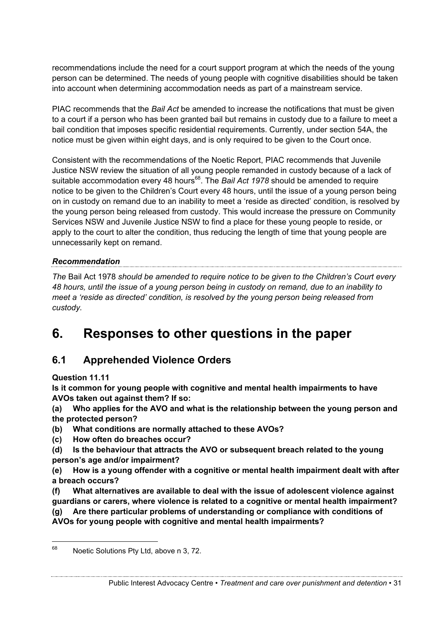recommendations include the need for a court support program at which the needs of the young person can be determined. The needs of young people with cognitive disabilities should be taken into account when determining accommodation needs as part of a mainstream service.

PIAC recommends that the *Bail Act* be amended to increase the notifications that must be given to a court if a person who has been granted bail but remains in custody due to a failure to meet a bail condition that imposes specific residential requirements. Currently, under section 54A, the notice must be given within eight days, and is only required to be given to the Court once.

Consistent with the recommendations of the Noetic Report, PIAC recommends that Juvenile Justice NSW review the situation of all young people remanded in custody because of a lack of suitable accommodation every 48 hours<sup>68</sup>. The *Bail Act 1978* should be amended to require notice to be given to the Children's Court every 48 hours, until the issue of a young person being on in custody on remand due to an inability to meet a 'reside as directed' condition, is resolved by the young person being released from custody. This would increase the pressure on Community Services NSW and Juvenile Justice NSW to find a place for these young people to reside, or apply to the court to alter the condition, thus reducing the length of time that young people are unnecessarily kept on remand.

#### *Recommendation*

*The* Bail Act 1978 *should be amended to require notice to be given to the Children's Court every 48 hours, until the issue of a young person being in custody on remand, due to an inability to meet a 'reside as directed' condition, is resolved by the young person being released from custody.*

# **6. Responses to other questions in the paper**

# **6.1 Apprehended Violence Orders**

**Question 11.11** 

**Is it common for young people with cognitive and mental health impairments to have AVOs taken out against them? If so:**

**(a) Who applies for the AVO and what is the relationship between the young person and the protected person?**

- **(b) What conditions are normally attached to these AVOs?**
- **(c) How often do breaches occur?**
- **(d) Is the behaviour that attracts the AVO or subsequent breach related to the young person's age and/or impairment?**
- **(e) How is a young offender with a cognitive or mental health impairment dealt with after a breach occurs?**

**(f) What alternatives are available to deal with the issue of adolescent violence against guardians or carers, where violence is related to a cognitive or mental health impairment? (g) Are there particular problems of understanding or compliance with conditions of** 

**AVOs for young people with cognitive and mental health impairments?**

<sup>&</sup>lt;sup>68</sup> Noetic Solutions Pty Ltd, above n 3, 72.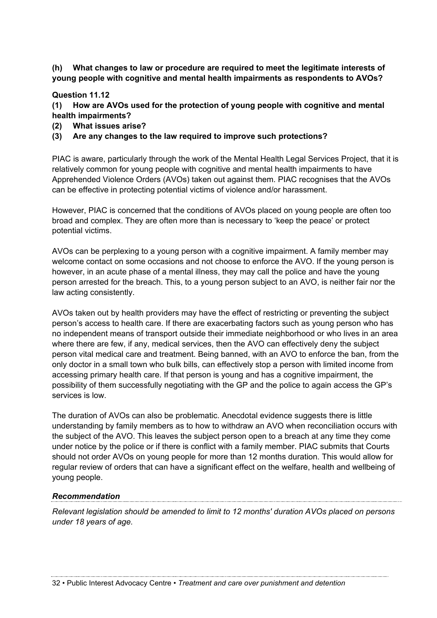**(h) What changes to law or procedure are required to meet the legitimate interests of young people with cognitive and mental health impairments as respondents to AVOs?**

#### **Question 11.12**

**(1) How are AVOs used for the protection of young people with cognitive and mental health impairments?**

**(2) What issues arise?** 

#### **(3) Are any changes to the law required to improve such protections?**

PIAC is aware, particularly through the work of the Mental Health Legal Services Project, that it is relatively common for young people with cognitive and mental health impairments to have Apprehended Violence Orders (AVOs) taken out against them. PIAC recognises that the AVOs can be effective in protecting potential victims of violence and/or harassment.

However, PIAC is concerned that the conditions of AVOs placed on young people are often too broad and complex. They are often more than is necessary to 'keep the peace' or protect potential victims.

AVOs can be perplexing to a young person with a cognitive impairment. A family member may welcome contact on some occasions and not choose to enforce the AVO. If the young person is however, in an acute phase of a mental illness, they may call the police and have the young person arrested for the breach. This, to a young person subject to an AVO, is neither fair nor the law acting consistently.

AVOs taken out by health providers may have the effect of restricting or preventing the subject person's access to health care. If there are exacerbating factors such as young person who has no independent means of transport outside their immediate neighborhood or who lives in an area where there are few, if any, medical services, then the AVO can effectively deny the subject person vital medical care and treatment. Being banned, with an AVO to enforce the ban, from the only doctor in a small town who bulk bills, can effectively stop a person with limited income from accessing primary health care. If that person is young and has a cognitive impairment, the possibility of them successfully negotiating with the GP and the police to again access the GP's services is low.

The duration of AVOs can also be problematic. Anecdotal evidence suggests there is little understanding by family members as to how to withdraw an AVO when reconciliation occurs with the subject of the AVO. This leaves the subject person open to a breach at any time they come under notice by the police or if there is conflict with a family member. PIAC submits that Courts should not order AVOs on young people for more than 12 months duration. This would allow for regular review of orders that can have a significant effect on the welfare, health and wellbeing of young people.

#### *Recommendation*

*Relevant legislation should be amended to limit to 12 months' duration AVOs placed on persons under 18 years of age.*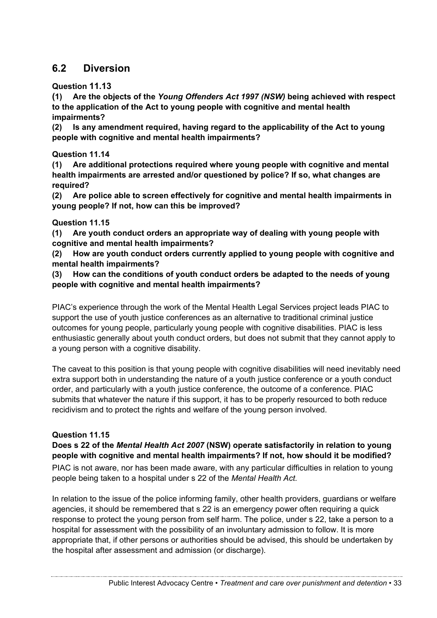# **6.2 Diversion**

**Question 11.13**

**(1) Are the objects of the** *Young Offenders Act 1997 (NSW)* **being achieved with respect to the application of the Act to young people with cognitive and mental health impairments?**

**(2) Is any amendment required, having regard to the applicability of the Act to young people with cognitive and mental health impairments?**

**Question 11.14** 

**(1) Are additional protections required where young people with cognitive and mental health impairments are arrested and/or questioned by police? If so, what changes are required?**

**(2) Are police able to screen effectively for cognitive and mental health impairments in young people? If not, how can this be improved?**

#### **Question 11.15**

**(1) Are youth conduct orders an appropriate way of dealing with young people with cognitive and mental health impairments?**

**(2) How are youth conduct orders currently applied to young people with cognitive and mental health impairments?**

**(3) How can the conditions of youth conduct orders be adapted to the needs of young people with cognitive and mental health impairments?**

PIAC's experience through the work of the Mental Health Legal Services project leads PIAC to support the use of youth justice conferences as an alternative to traditional criminal justice outcomes for young people, particularly young people with cognitive disabilities. PIAC is less enthusiastic generally about youth conduct orders, but does not submit that they cannot apply to a young person with a cognitive disability.

The caveat to this position is that young people with cognitive disabilities will need inevitably need extra support both in understanding the nature of a youth justice conference or a youth conduct order, and particularly with a youth justice conference, the outcome of a conference. PIAC submits that whatever the nature if this support, it has to be properly resourced to both reduce recidivism and to protect the rights and welfare of the young person involved.

#### **Question 11.15**

**Does s 22 of the** *Mental Health Act 2007* **(NSW) operate satisfactorily in relation to young people with cognitive and mental health impairments? If not, how should it be modified?** PIAC is not aware, nor has been made aware, with any particular difficulties in relation to young people being taken to a hospital under s 22 of the *Mental Health Act.*

In relation to the issue of the police informing family, other health providers, guardians or welfare agencies, it should be remembered that s 22 is an emergency power often requiring a quick response to protect the young person from self harm. The police, under s 22, take a person to a hospital for assessment with the possibility of an involuntary admission to follow. It is more appropriate that, if other persons or authorities should be advised, this should be undertaken by the hospital after assessment and admission (or discharge).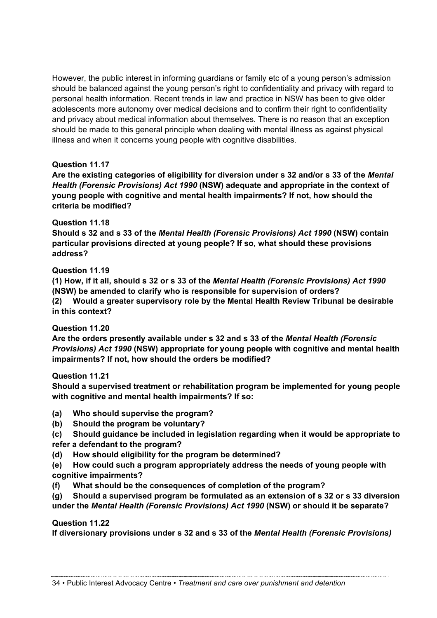However, the public interest in informing guardians or family etc of a young person's admission should be balanced against the young person's right to confidentiality and privacy with regard to personal health information. Recent trends in law and practice in NSW has been to give older adolescents more autonomy over medical decisions and to confirm their right to confidentiality and privacy about medical information about themselves. There is no reason that an exception should be made to this general principle when dealing with mental illness as against physical illness and when it concerns young people with cognitive disabilities.

#### **Question 11.17**

**Are the existing categories of eligibility for diversion under s 32 and/or s 33 of the** *Mental Health (Forensic Provisions) Act 1990* **(NSW) adequate and appropriate in the context of young people with cognitive and mental health impairments? If not, how should the criteria be modified?**

#### **Question 11.18**

**Should s 32 and s 33 of the** *Mental Health (Forensic Provisions) Act 1990* **(NSW) contain particular provisions directed at young people? If so, what should these provisions address?**

#### **Question 11.19**

**(1) How, if it all, should s 32 or s 33 of the** *Mental Health (Forensic Provisions) Act 1990* **(NSW) be amended to clarify who is responsible for supervision of orders?**

**(2) Would a greater supervisory role by the Mental Health Review Tribunal be desirable in this context?**

**Question 11.20** 

**Are the orders presently available under s 32 and s 33 of the** *Mental Health (Forensic Provisions) Act 1990* **(NSW) appropriate for young people with cognitive and mental health impairments? If not, how should the orders be modified?**

#### **Question 11.21**

**Should a supervised treatment or rehabilitation program be implemented for young people with cognitive and mental health impairments? If so:**

- **(a) Who should supervise the program?**
- **(b) Should the program be voluntary?**
- **(c) Should guidance be included in legislation regarding when it would be appropriate to refer a defendant to the program?**
- **(d) How should eligibility for the program be determined?**
- **(e) How could such a program appropriately address the needs of young people with cognitive impairments?**
- **(f) What should be the consequences of completion of the program?**
- **(g) Should a supervised program be formulated as an extension of s 32 or s 33 diversion under the** *Mental Health (Forensic Provisions) Act 1990* **(NSW) or should it be separate?**

#### **Question 11.22**

**If diversionary provisions under s 32 and s 33 of the** *Mental Health (Forensic Provisions)*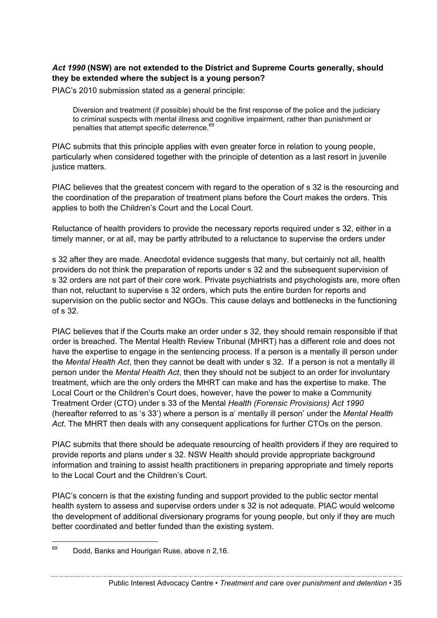#### *Act 1990* **(NSW) are not extended to the District and Supreme Courts generally, should they be extended where the subject is a young person?**

PIAC's 2010 submission stated as a general principle:

Diversion and treatment (if possible) should be the first response of the police and the judiciary to criminal suspects with mental illness and cognitive impairment, rather than punishment or penalties that attempt specific deterrence.<sup>69</sup>

PIAC submits that this principle applies with even greater force in relation to young people, particularly when considered together with the principle of detention as a last resort in juvenile justice matters.

PIAC believes that the greatest concern with regard to the operation of s 32 is the resourcing and the coordination of the preparation of treatment plans before the Court makes the orders. This applies to both the Children's Court and the Local Court.

Reluctance of health providers to provide the necessary reports required under s 32, either in a timely manner, or at all, may be partly attributed to a reluctance to supervise the orders under

s 32 after they are made. Anecdotal evidence suggests that many, but certainly not all, health providers do not think the preparation of reports under s 32 and the subsequent supervision of s 32 orders are not part of their core work. Private psychiatrists and psychologists are, more often than not, reluctant to supervise s 32 orders, which puts the entire burden for reports and supervision on the public sector and NGOs. This cause delays and bottlenecks in the functioning of s 32.

PIAC believes that if the Courts make an order under s 32, they should remain responsible if that order is breached. The Mental Health Review Tribunal (MHRT) has a different role and does not have the expertise to engage in the sentencing process. If a person is a mentally ill person under the *Mental Health Act*, then they cannot be dealt with under s 32. If a person is not a mentally ill person under the *Mental Health Act*, then they should not be subject to an order for involuntary treatment, which are the only orders the MHRT can make and has the expertise to make. The Local Court or the Children's Court does, however, have the power to make a Community Treatment Order (CTO) under s 33 of the Mental *Health (Forensic Provisions) Act 1990* (hereafter referred to as 's 33') where a person is a' mentally ill person' under the *Mental Health Act*. The MHRT then deals with any consequent applications for further CTOs on the person.

PIAC submits that there should be adequate resourcing of health providers if they are required to provide reports and plans under s 32. NSW Health should provide appropriate background information and training to assist health practitioners in preparing appropriate and timely reports to the Local Court and the Children's Court.

PIAC's concern is that the existing funding and support provided to the public sector mental health system to assess and supervise orders under s 32 is not adequate. PIAC would welcome the development of additional diversionary programs for young people, but only if they are much better coordinated and better funded than the existing system.

 $69$  Dodd, Banks and Hourigan Ruse, above n 2,16.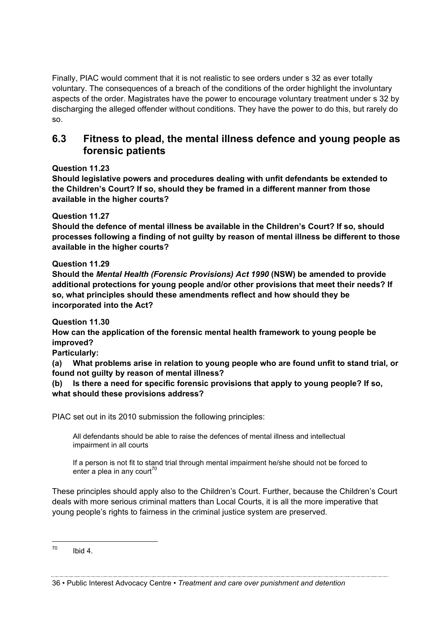Finally, PIAC would comment that it is not realistic to see orders under s 32 as ever totally voluntary. The consequences of a breach of the conditions of the order highlight the involuntary aspects of the order. Magistrates have the power to encourage voluntary treatment under s 32 by discharging the alleged offender without conditions. They have the power to do this, but rarely do so.

## **6.3 Fitness to plead, the mental illness defence and young people as forensic patients**

**Question 11.23** 

**Should legislative powers and procedures dealing with unfit defendants be extended to the Children's Court? If so, should they be framed in a different manner from those available in the higher courts?**

**Question 11.27** 

**Should the defence of mental illness be available in the Children's Court? If so, should processes following a finding of not guilty by reason of mental illness be different to those available in the higher courts?**

#### **Question 11.29**

**Should the** *Mental Health (Forensic Provisions) Act 1990* **(NSW) be amended to provide additional protections for young people and/or other provisions that meet their needs? If so, what principles should these amendments reflect and how should they be incorporated into the Act?**

**Question 11.30** 

**How can the application of the forensic mental health framework to young people be improved?**

**Particularly:**

**(a) What problems arise in relation to young people who are found unfit to stand trial, or found not guilty by reason of mental illness?**

**(b) Is there a need for specific forensic provisions that apply to young people? If so, what should these provisions address?**

PIAC set out in its 2010 submission the following principles:

All defendants should be able to raise the defences of mental illness and intellectual impairment in all courts

If a person is not fit to stand trial through mental impairment he/she should not be forced to enter a plea in any court<sup>70</sup>

These principles should apply also to the Children's Court. Further, because the Children's Court deals with more serious criminal matters than Local Courts, it is all the more imperative that young people's rights to fairness in the criminal justice system are preserved.

 $70$  Ibid 4.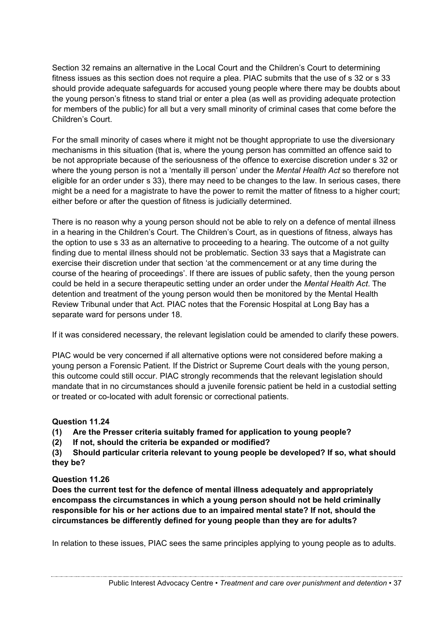Section 32 remains an alternative in the Local Court and the Children's Court to determining fitness issues as this section does not require a plea. PIAC submits that the use of s 32 or s 33 should provide adequate safeguards for accused young people where there may be doubts about the young person's fitness to stand trial or enter a plea (as well as providing adequate protection for members of the public) for all but a very small minority of criminal cases that come before the Children's Court.

For the small minority of cases where it might not be thought appropriate to use the diversionary mechanisms in this situation (that is, where the young person has committed an offence said to be not appropriate because of the seriousness of the offence to exercise discretion under s 32 or where the young person is not a 'mentally ill person' under the *Mental Health Act* so therefore not eligible for an order under s 33), there may need to be changes to the law. In serious cases, there might be a need for a magistrate to have the power to remit the matter of fitness to a higher court; either before or after the question of fitness is judicially determined.

There is no reason why a young person should not be able to rely on a defence of mental illness in a hearing in the Children's Court. The Children's Court, as in questions of fitness, always has the option to use s 33 as an alternative to proceeding to a hearing. The outcome of a not guilty finding due to mental illness should not be problematic. Section 33 says that a Magistrate can exercise their discretion under that section 'at the commencement or at any time during the course of the hearing of proceedings'. If there are issues of public safety, then the young person could be held in a secure therapeutic setting under an order under the *Mental Health Act*. The detention and treatment of the young person would then be monitored by the Mental Health Review Tribunal under that Act. PIAC notes that the Forensic Hospital at Long Bay has a separate ward for persons under 18.

If it was considered necessary, the relevant legislation could be amended to clarify these powers.

PIAC would be very concerned if all alternative options were not considered before making a young person a Forensic Patient. If the District or Supreme Court deals with the young person, this outcome could still occur. PIAC strongly recommends that the relevant legislation should mandate that in no circumstances should a juvenile forensic patient be held in a custodial setting or treated or co-located with adult forensic or correctional patients.

#### **Question 11.24**

**(1) Are the Presser criteria suitably framed for application to young people?**

**(2) If not, should the criteria be expanded or modified?** 

**(3) Should particular criteria relevant to young people be developed? If so, what should they be?**

#### **Question 11.26**

**Does the current test for the defence of mental illness adequately and appropriately encompass the circumstances in which a young person should not be held criminally responsible for his or her actions due to an impaired mental state? If not, should the circumstances be differently defined for young people than they are for adults?**

In relation to these issues, PIAC sees the same principles applying to young people as to adults.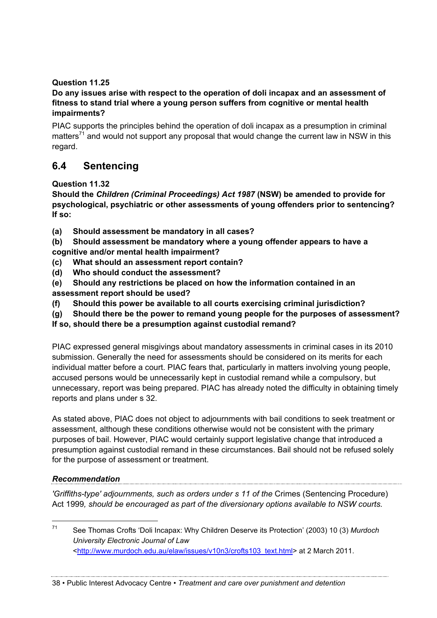#### **Question 11.25**

#### **Do any issues arise with respect to the operation of doli incapax and an assessment of fitness to stand trial where a young person suffers from cognitive or mental health impairments?**

PIAC supports the principles behind the operation of doli incapax as a presumption in criminal matters<sup>71</sup> and would not support any proposal that would change the current law in NSW in this regard.

# **6.4 Sentencing**

**Question 11.32** 

**Should the** *Children (Criminal Proceedings) Act 1987* **(NSW) be amended to provide for psychological, psychiatric or other assessments of young offenders prior to sentencing? If so:**

- **(a) Should assessment be mandatory in all cases?**
- **(b) Should assessment be mandatory where a young offender appears to have a cognitive and/or mental health impairment?**
- **(c) What should an assessment report contain?**
- **(d) Who should conduct the assessment?**
- **(e) Should any restrictions be placed on how the information contained in an assessment report should be used?**
- **(f) Should this power be available to all courts exercising criminal jurisdiction?**
- **(g) Should there be the power to remand young people for the purposes of assessment?**

**If so, should there be a presumption against custodial remand?**

PIAC expressed general misgivings about mandatory assessments in criminal cases in its 2010 submission. Generally the need for assessments should be considered on its merits for each individual matter before a court. PIAC fears that, particularly in matters involving young people, accused persons would be unnecessarily kept in custodial remand while a compulsory, but unnecessary, report was being prepared. PIAC has already noted the difficulty in obtaining timely reports and plans under s 32.

As stated above, PIAC does not object to adjournments with bail conditions to seek treatment or assessment, although these conditions otherwise would not be consistent with the primary purposes of bail. However, PIAC would certainly support legislative change that introduced a presumption against custodial remand in these circumstances. Bail should not be refused solely for the purpose of assessment or treatment.

#### *Recommendation*

*'Griffiths-type' adjournments, such as orders under s 11 of the* Crimes (Sentencing Procedure) Act 1999*, should be encouraged as part of the diversionary options available to NSW courts.* 

 <sup>71</sup> See Thomas Crofts 'Doli Incapax: Why Children Deserve its Protection' (2003) 10 (3) *Murdoch University Electronic Journal of Law* <http://www.murdoch.edu.au/elaw/issues/v10n3/crofts103\_text.html> at 2 March 2011.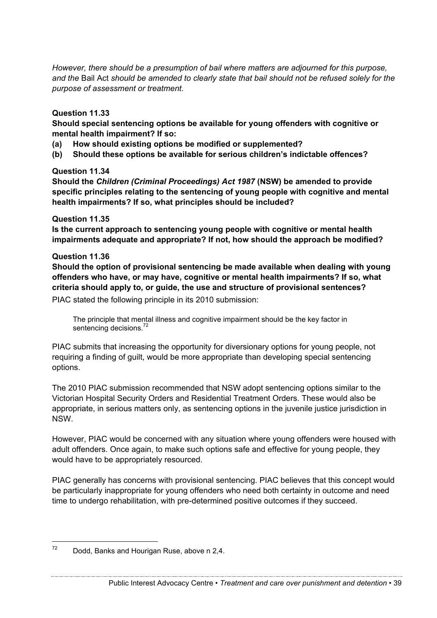*However, there should be a presumption of bail where matters are adjourned for this purpose, and the* Bail Act *should be amended to clearly state that bail should not be refused solely for the purpose of assessment or treatment.*

#### **Question 11.33**

**Should special sentencing options be available for young offenders with cognitive or mental health impairment? If so:**

- **(a) How should existing options be modified or supplemented?**
- **(b) Should these options be available for serious children's indictable offences?**

#### **Question 11.34**

**Should the** *Children (Criminal Proceedings) Act 1987* **(NSW) be amended to provide specific principles relating to the sentencing of young people with cognitive and mental health impairments? If so, what principles should be included?**

#### **Question 11.35**

**Is the current approach to sentencing young people with cognitive or mental health impairments adequate and appropriate? If not, how should the approach be modified?**

#### **Question 11.36**

**Should the option of provisional sentencing be made available when dealing with young offenders who have, or may have, cognitive or mental health impairments? If so, what criteria should apply to, or guide, the use and structure of provisional sentences?**

PIAC stated the following principle in its 2010 submission:

The principle that mental illness and cognitive impairment should be the key factor in sentencing decisions.<sup>72</sup>

PIAC submits that increasing the opportunity for diversionary options for young people, not requiring a finding of guilt, would be more appropriate than developing special sentencing options.

The 2010 PIAC submission recommended that NSW adopt sentencing options similar to the Victorian Hospital Security Orders and Residential Treatment Orders. These would also be appropriate, in serious matters only, as sentencing options in the juvenile justice jurisdiction in NSW.

However, PIAC would be concerned with any situation where young offenders were housed with adult offenders. Once again, to make such options safe and effective for young people, they would have to be appropriately resourced.

PIAC generally has concerns with provisional sentencing. PIAC believes that this concept would be particularly inappropriate for young offenders who need both certainty in outcome and need time to undergo rehabilitation, with pre-determined positive outcomes if they succeed.

 $72$  Dodd, Banks and Hourigan Ruse, above n 2,4.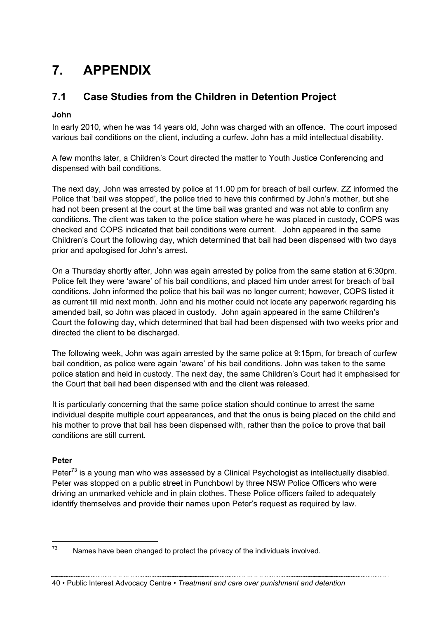# **7. APPENDIX**

# **7.1 Case Studies from the Children in Detention Project**

#### **John**

In early 2010, when he was 14 years old, John was charged with an offence. The court imposed various bail conditions on the client, including a curfew. John has a mild intellectual disability.

A few months later, a Children's Court directed the matter to Youth Justice Conferencing and dispensed with bail conditions.

The next day, John was arrested by police at 11.00 pm for breach of bail curfew. ZZ informed the Police that 'bail was stopped', the police tried to have this confirmed by John's mother, but she had not been present at the court at the time bail was granted and was not able to confirm any conditions. The client was taken to the police station where he was placed in custody, COPS was checked and COPS indicated that bail conditions were current. John appeared in the same Children's Court the following day, which determined that bail had been dispensed with two days prior and apologised for John's arrest.

On a Thursday shortly after, John was again arrested by police from the same station at 6:30pm. Police felt they were 'aware' of his bail conditions, and placed him under arrest for breach of bail conditions. John informed the police that his bail was no longer current; however, COPS listed it as current till mid next month. John and his mother could not locate any paperwork regarding his amended bail, so John was placed in custody. John again appeared in the same Children's Court the following day, which determined that bail had been dispensed with two weeks prior and directed the client to be discharged.

The following week, John was again arrested by the same police at 9:15pm, for breach of curfew bail condition, as police were again 'aware' of his bail conditions. John was taken to the same police station and held in custody. The next day, the same Children's Court had it emphasised for the Court that bail had been dispensed with and the client was released.

It is particularly concerning that the same police station should continue to arrest the same individual despite multiple court appearances, and that the onus is being placed on the child and his mother to prove that bail has been dispensed with, rather than the police to prove that bail conditions are still current.

#### **Peter**

Peter<sup>73</sup> is a young man who was assessed by a Clinical Psychologist as intellectually disabled. Peter was stopped on a public street in Punchbowl by three NSW Police Officers who were driving an unmarked vehicle and in plain clothes. These Police officers failed to adequately identify themselves and provide their names upon Peter's request as required by law.

 $73$  Names have been changed to protect the privacy of the individuals involved.